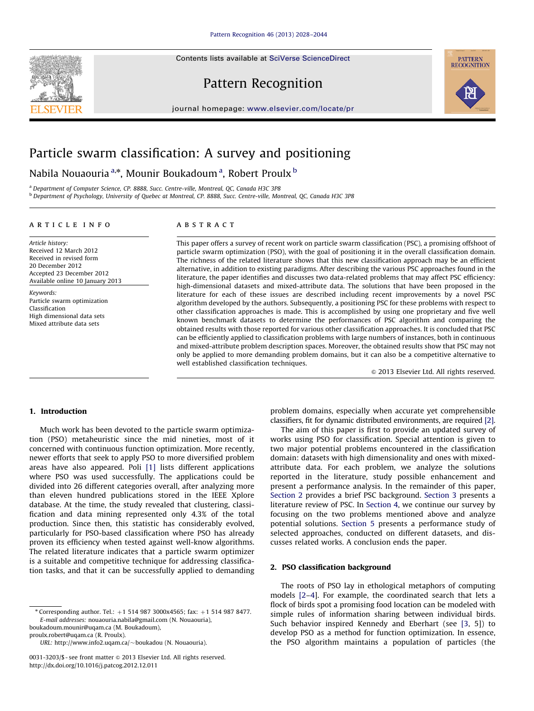Contents lists available at [SciVerse ScienceDirect](www.elsevier.com/locate/pr)







journal homepage: <www.elsevier.com/locate/pr>

# Particle swarm classification: A survey and positioning

Nabila Nouaouria <sup>a,</sup>\*, Mounir Boukadoum <sup>a</sup>, Robert Proulx <sup>b</sup>

<sup>a</sup> Department of Computer Science, CP. 8888, Succ. Centre-ville, Montreal, QC, Canada H3C 3P8 <sup>b</sup> Department of Psychology, University of Quebec at Montreal, CP. 8888, Succ. Centre-ville, Montreal, QC, Canada H3C 3P8

article info

### **ABSTRACT**

Article history: Received 12 March 2012 Received in revised form 20 December 2012 Accepted 23 December 2012 Available online 10 January 2013

Keywords: Particle swarm optimization Classification High dimensional data sets Mixed attribute data sets

This paper offers a survey of recent work on particle swarm classification (PSC), a promising offshoot of particle swarm optimization (PSO), with the goal of positioning it in the overall classification domain. The richness of the related literature shows that this new classification approach may be an efficient alternative, in addition to existing paradigms. After describing the various PSC approaches found in the literature, the paper identifies and discusses two data-related problems that may affect PSC efficiency: high-dimensional datasets and mixed-attribute data. The solutions that have been proposed in the literature for each of these issues are described including recent improvements by a novel PSC algorithm developed by the authors. Subsequently, a positioning PSC for these problems with respect to other classification approaches is made. This is accomplished by using one proprietary and five well known benchmark datasets to determine the performances of PSC algorithm and comparing the obtained results with those reported for various other classification approaches. It is concluded that PSC can be efficiently applied to classification problems with large numbers of instances, both in continuous and mixed-attribute problem description spaces. Moreover, the obtained results show that PSC may not only be applied to more demanding problem domains, but it can also be a competitive alternative to well established classification techniques.

 $\odot$  2013 Elsevier Ltd. All rights reserved.

### 1. Introduction

Much work has been devoted to the particle swarm optimization (PSO) metaheuristic since the mid nineties, most of it concerned with continuous function optimization. More recently, newer efforts that seek to apply PSO to more diversified problem areas have also appeared. Poli [\[1\]](#page-14-0) lists different applications where PSO was used successfully. The applications could be divided into 26 different categories overall, after analyzing more than eleven hundred publications stored in the IEEE Xplore database. At the time, the study revealed that clustering, classification and data mining represented only 4.3% of the total production. Since then, this statistic has considerably evolved, particularly for PSO-based classification where PSO has already proven its efficiency when tested against well-know algorithms. The related literature indicates that a particle swarm optimizer is a suitable and competitive technique for addressing classification tasks, and that it can be successfully applied to demanding

 $^*$  Corresponding author. Tel.:  $+1$  514 987 3000x4565; fax:  $+1$  514 987 8477. E-mail addresses: [nouaouria.nabila@gmail.com \(N. Nouaouria\),](mailto:nouaouria.nabila@gmail.com)

[boukadoum.mounir@uqam.ca \(M. Boukadoum\)](mailto:boukadoum.mounir@uqam.ca),

[proulx.robert@uqam.ca \(R. Proulx\).](mailto:proulx.robert@uqam.ca)

problem domains, especially when accurate yet comprehensible classifiers, fit for dynamic distributed environments, are required [\[2\].](#page-14-0)

The aim of this paper is first to provide an updated survey of works using PSO for classification. Special attention is given to two major potential problems encountered in the classification domain: datasets with high dimensionality and ones with mixedattribute data. For each problem, we analyze the solutions reported in the literature, study possible enhancement and present a performance analysis. In the remainder of this paper, Section 2 provides a brief PSC background. [Section 3](#page-2-0) presents a literature review of PSC. In [Section 4](#page-5-0), we continue our survey by focusing on the two problems mentioned above and analyze potential solutions. [Section 5](#page-8-0) presents a performance study of selected approaches, conducted on different datasets, and discusses related works. A conclusion ends the paper.

### 2. PSO classification background

The roots of PSO lay in ethological metaphors of computing models [\[2–4](#page-14-0)]. For example, the coordinated search that lets a flock of birds spot a promising food location can be modeled with simple rules of information sharing between individual birds. Such behavior inspired Kennedy and Eberhart (see [\[3,](#page-14-0) 5]) to develop PSO as a method for function optimization. In essence, the PSO algorithm maintains a population of particles (the

URL: [http://www.info2.uqam.ca/](mailto:http://www.info2.uqam.ca/~boukadou.3d)~[boukadou \(N. Nouaouria\)](mailto:http://www.info2.uqam.ca/~boukadou.3d).

<sup>0031-3203/\$ -</sup> see front matter  $\odot$  2013 Elsevier Ltd. All rights reserved. [http://dx.doi.org/10.1016/j.patcog.2012.12.011](dx.doi.org/10.1016/j.patcog.2012.12.011)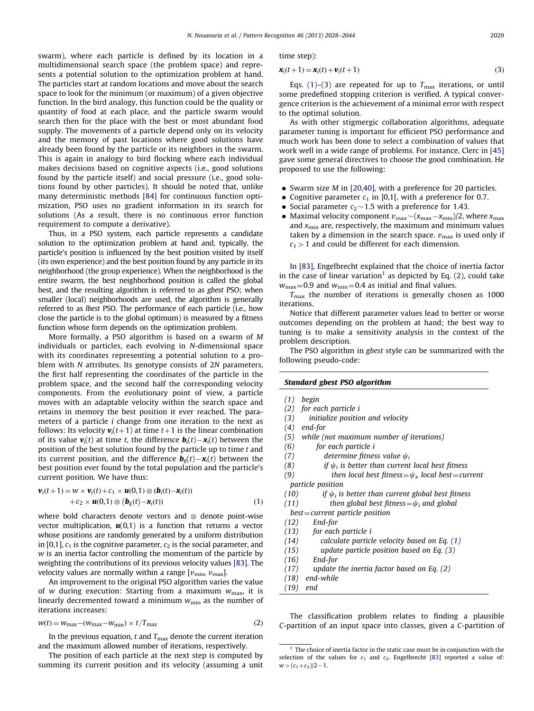swarm), where each particle is defined by its location in a multidimensional search space (the problem space) and represents a potential solution to the optimization problem at hand. The particles start at random locations and move about the search space to look for the minimum (or maximum) of a given objective function. In the bird analogy, this function could be the quality or quantity of food at each place, and the particle swarm would search then for the place with the best or most abundant food supply. The movements of a particle depend only on its velocity and the memory of past locations where good solutions have already been found by the particle or its neighbors in the swarm. This is again in analogy to bird flocking where each individual makes decisions based on cognitive aspects (i.e., good solutions found by the particle itself) and social pressure (i.e., good solutions found by other particles). It should be noted that, unlike many deterministic methods [\[84\]](#page-16-0) for continuous function optimization, PSO uses no gradient information in its search for solutions (As a result, there is no continuous error function requirement to compute a derivative).

Thus, in a PSO system, each particle represents a candidate solution to the optimization problem at hand and, typically, the particle's position is influenced by the best position visited by itself (its own experience) and the best position found by any particle in its neighborhood (the group experience). When the neighborhood is the entire swarm, the best neighborhood position is called the global best, and the resulting algorithm is referred to as gbest PSO; when smaller (local) neighborhoods are used, the algorithm is generally referred to as lbest PSO. The performance of each particle (i.e., how close the particle is to the global optimum) is measured by a fitness function whose form depends on the optimization problem.

More formally, a PSO algorithm is based on a swarm of M individuals or particles, each evolving in N-dimensional space with its coordinates representing a potential solution to a problem with N attributes. Its genotype consists of 2N parameters, the first half representing the coordinates of the particle in the problem space, and the second half the corresponding velocity components. From the evolutionary point of view, a particle moves with an adaptable velocity within the search space and retains in memory the best position it ever reached. The parameters of a particle i change from one iteration to the next as follows: Its velocity  $v_i(t+1)$  at time  $t+1$  is the linear combination of its value  $v_i(t)$  at time t, the difference  $\mathbf{b}_i(t) - \mathbf{x}_i(t)$  between the position of the best solution found by the particle up to time t and its current position, and the difference  $\mathbf{b}_{g}(t)-\mathbf{x}_{i}(t)$  between the best position ever found by the total population and the particle's current position. We have thus:

$$
\mathbf{v}_i(t+1) = w \times \mathbf{v}_i(t) + c_1 \times \mathbf{u}(0,1) \otimes (\mathbf{b}_i(t) - \mathbf{x}_i(t)) \n+ c_2 \times \mathbf{u}(0,1) \otimes (\mathbf{b}_g(t) - \mathbf{x}_i(t))
$$
\n(1)

where bold characters denote vectors and  $\otimes$  denote point-wise vector multiplication,  $u(0,1)$  is a function that returns a vector whose positions are randomly generated by a uniform distribution in [0,1],  $c_1$  is the cognitive parameter,  $c_2$  is the social parameter, and w is an inertia factor controlling the momentum of the particle by weighting the contributions of its previous velocity values [\[83\].](#page-16-0) The velocity values are normally within a range  $[v_{\min}, v_{\max}]$ .

An improvement to the original PSO algorithm varies the value of w during execution: Starting from a maximum  $w_{\text{max}}$ , it is linearly decremented toward a minimum  $w_{\text{min}}$  as the number of iterations increases:

$$
w(t) = w_{\text{max}} - (w_{\text{max}} - w_{\text{min}}) \times t / T_{\text{max}}
$$
 (2)

In the previous equation, t and  $T_{\text{max}}$  denote the current iteration and the maximum allowed number of iterations, respectively.

The position of each particle at the next step is computed by summing its current position and its velocity (assuming a unit time step):

$$
\mathbf{x}_i(t+1) = \mathbf{x}_i(t) + \mathbf{v}_i(t+1) \tag{3}
$$

Eqs. (1)–(3) are repeated for up to  $T_{\text{max}}$  iterations, or until some predefined stopping criterion is verified. A typical convergence criterion is the achievement of a minimal error with respect to the optimal solution.

As with other stigmergic collaboration algorithms, adequate parameter tuning is important for efficient PSO performance and much work has been done to select a combination of values that work well in a wide range of problems. For instance, Clerc in [\[45\]](#page-15-0) gave some general directives to choose the good combination. He proposed to use the following:

- $\bullet$  Swarm size *M* in [\[20](#page-14-0)[,40\]](#page-15-0), with a preference for 20 particles.
- Cognitive parameter  $c_1$  in  $]0,1[$ , with a preference for 0.7.
- Social parameter  $c_2$   $\sim$  1.5 with a preference for 1.43.
- Maximal velocity component  $v_{\text{max}} \sim (x_{\text{max}} x_{\text{min}})/2$ , where  $x_{\text{max}}$ and  $x_{\min}$  are, respectively, the maximum and minimum values taken by a dimension in the search space.  $v_{\text{max}}$  is used only if  $c_1$  > 1 and could be different for each dimension.

In [\[83\]](#page-16-0), Engelbrecht explained that the choice of inertia factor in the case of linear variation<sup>1</sup> as depicted by Eq. (2), could take  $w_{\text{max}}$ =0.9 and  $w_{\text{min}}$ =0.4 as initial and final values.

 $T_{\text{max}}$  the number of iterations is generally chosen as 1000 iterations.

Notice that different parameter values lead to better or worse outcomes depending on the problem at hand; the best way to tuning is to make a sensitivity analysis in the context of the problem description.

The PSO algorithm in gbest style can be summarized with the following pseudo-code:

### Standard gbest PSO algorithm

- (1) begin
- (2) for each particle i
- (3) initialize position and velocity
- (4) end-for
- (5) while (not maximum number of iterations)
- (6) for each particle i
	-
- (7) determine fitness value  $\psi_i$ <br>(8) if  $\psi_i$  is better than current if  $\psi_i$  is better than current local best fitness
- (9) then local best fitness =  $\psi_i$ , local best = current particle position
- (10) if  $\psi_i$  is better than current global best fitness
- (11) then global best fitness =  $\psi_i$  and global

 $best = current$  particle position

- (12) End-for
- (13) for each particle i
- (14) calculate particle velocity based on Eq. (1)
- (15) update particle position based on Eq. (3)
- (16) End-for
- (17) update the inertia factor based on Eq. (2)
- (18) end-while
- (19) end

The classification problem relates to finding a plausible C-partition of an input space into classes, given a C-partition of

 $1$  The choice of inertia factor in the static case must be in conjunction with the selection of the values for  $c_1$  and  $c_2$ . Engelbrecht [\[83\]](#page-16-0) reported a value of:  $w>(c_1+c_2)/2-1.$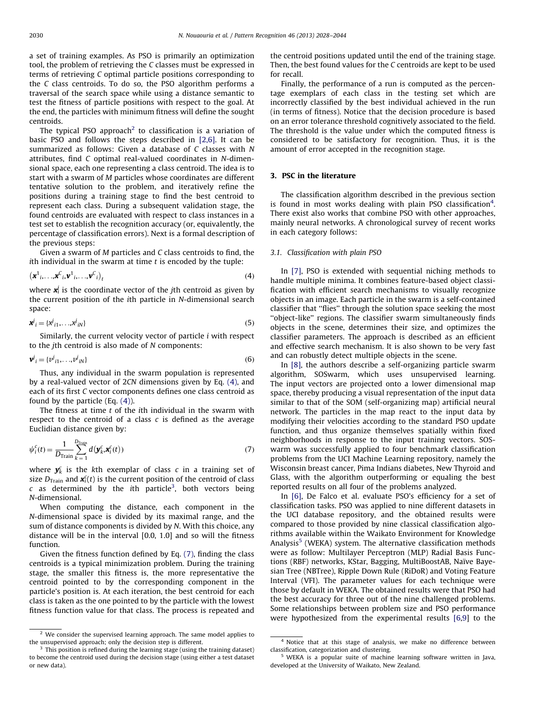<span id="page-2-0"></span>a set of training examples. As PSO is primarily an optimization tool, the problem of retrieving the C classes must be expressed in terms of retrieving C optimal particle positions corresponding to the C class centroids. To do so, the PSO algorithm performs a traversal of the search space while using a distance semantic to test the fitness of particle positions with respect to the goal. At the end, the particles with minimum fitness will define the sought centroids.

The typical PSO approach<sup>2</sup> to classification is a variation of basic PSO and follows the steps described in [\[2,6\].](#page-14-0) It can be summarized as follows: Given a database of C classes with N attributes, find C optimal real-valued coordinates in N-dimensional space, each one representing a class centroid. The idea is to start with a swarm of M particles whose coordinates are different tentative solution to the problem, and iteratively refine the positions during a training stage to find the best centroid to represent each class. During a subsequent validation stage, the found centroids are evaluated with respect to class instances in a test set to establish the recognition accuracy (or, equivalently, the percentage of classification errors). Next is a formal description of the previous steps:

Given a swarm of M particles and C class centroids to find, the ith individual in the swarm at time  $t$  is encoded by the tuple:

$$
\left(\mathbf{x}^{1}_{i},\ldots,\mathbf{x}^{C}_{i},\mathbf{v}^{1}_{i},\ldots,\mathbf{v}^{C}_{i}\right)_{t}
$$
\n
$$
\tag{4}
$$

where  $\textbf{\textit{x}}_{i}^{j}$  is the coordinate vector of the jth centroid as given by the current position of the ith particle in N-dimensional search space:

$$
\mathbf{x}^j{}_i = \{x^j{}_{i1}, \dots, x^j{}_{iN}\}\tag{5}
$$

Similarly, the current velocity vector of particle i with respect to the jth centroid is also made of N components:

$$
\mathbf{v}^j{}_i = \{v^j{}_{i1}, \dots, v^j{}_{iN}\}\tag{6}
$$

Thus, any individual in the swarm population is represented by a real-valued vector of 2CN dimensions given by Eq. (4), and each of its first C vector components defines one class centroid as found by the particle (Eq. (4)).

The fitness at time  $t$  of the *i*th individual in the swarm with respect to the centroid of a class  $c$  is defined as the average Euclidian distance given by:

$$
\psi_i^c(t) = \frac{1}{D_{\text{Train}}} \sum_{k=1}^{D_{\text{Train}}} d(\mathbf{y}_k^c, \mathbf{x}_i^c(t))
$$
\n(7)

where  $y_k^c$  is the kth exemplar of class  $c$  in a training set of size  $D_{\text{Train}}$  and  $\boldsymbol{x}_i^c(t)$  is the current position of the centroid of class  $c$  as determined by the ith particle<sup>3</sup>, both vectors being N-dimensional.

When computing the distance, each component in the N-dimensional space is divided by its maximal range, and the sum of distance components is divided by N. With this choice, any distance will be in the interval [0.0, 1.0] and so will the fitness function.

Given the fitness function defined by Eq. (7), finding the class centroids is a typical minimization problem. During the training stage, the smaller this fitness is, the more representative the centroid pointed to by the corresponding component in the particle's position is. At each iteration, the best centroid for each class is taken as the one pointed to by the particle with the lowest fitness function value for that class. The process is repeated and

the centroid positions updated until the end of the training stage. Then, the best found values for the C centroids are kept to be used for recall.

Finally, the performance of a run is computed as the percentage exemplars of each class in the testing set which are incorrectly classified by the best individual achieved in the run (in terms of fitness). Notice that the decision procedure is based on an error tolerance threshold cognitively associated to the field. The threshold is the value under which the computed fitness is considered to be satisfactory for recognition. Thus, it is the amount of error accepted in the recognition stage.

## 3. PSC in the literature

The classification algorithm described in the previous section is found in most works dealing with plain PSO classification<sup>4</sup>. There exist also works that combine PSO with other approaches, mainly neural networks. A chronological survey of recent works in each category follows:

### 3.1. Classification with plain PSO

In [\[7\]](#page-14-0), PSO is extended with sequential niching methods to handle multiple minima. It combines feature-based object classification with efficient search mechanisms to visually recognize objects in an image. Each particle in the swarm is a self-contained classifier that ''flies'' through the solution space seeking the most ''object-like'' regions. The classifier swarm simultaneously finds objects in the scene, determines their size, and optimizes the classifier parameters. The approach is described as an efficient and effective search mechanism. It is also shown to be very fast and can robustly detect multiple objects in the scene.

In [\[8\],](#page-14-0) the authors describe a self-organizing particle swarm algorithm, SOSwarm, which uses unsupervised learning. The input vectors are projected onto a lower dimensional map space, thereby producing a visual representation of the input data similar to that of the SOM (self-organizing map) artificial neural network. The particles in the map react to the input data by modifying their velocities according to the standard PSO update function, and thus organize themselves spatially within fixed neighborhoods in response to the input training vectors. SOSwarm was successfully applied to four benchmark classification problems from the UCI Machine Learning repository, namely the Wisconsin breast cancer, Pima Indians diabetes, New Thyroid and Glass, with the algorithm outperforming or equaling the best reported results on all four of the problems analyzed.

In [\[6\]](#page-14-0), De Falco et al. evaluate PSO's efficiency for a set of classification tasks. PSO was applied to nine different datasets in the UCI database repository, and the obtained results were compared to those provided by nine classical classification algorithms available within the Waikato Environment for Knowledge Analysis<sup>5</sup> (WEKA) system. The alternative classification methods were as follow: Multilayer Perceptron (MLP) Radial Basis Functions (RBF) networks, KStar, Bagging, MultiBoostAB, Naïve Bayesian Tree (NBTree), Ripple Down Rule (RiDoR) and Voting Feature Interval (VFI). The parameter values for each technique were those by default in WEKA. The obtained results were that PSO had the best accuracy for three out of the nine challenged problems. Some relationships between problem size and PSO performance were hypothesized from the experimental results [\[6,9\]](#page-14-0) to the

 $2$  We consider the supervised learning approach. The same model applies to the unsupervised approach; only the decision step is different.

This position is refined during the learning stage (using the training dataset) to become the centroid used during the decision stage (using either a test dataset or new data).

<sup>&</sup>lt;sup>4</sup> Notice that at this stage of analysis, we make no difference between classification, categorization and clustering.

<sup>5</sup> WEKA is a popular suite of machine learning software written in Java, developed at the University of Waikato, New Zealand.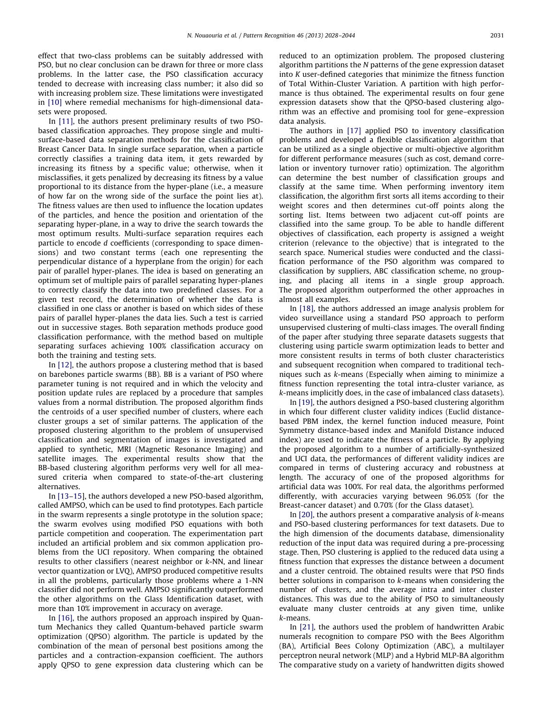effect that two-class problems can be suitably addressed with PSO, but no clear conclusion can be drawn for three or more class problems. In the latter case, the PSO classification accuracy tended to decrease with increasing class number; it also did so with increasing problem size. These limitations were investigated in [\[10\]](#page-14-0) where remedial mechanisms for high-dimensional datasets were proposed.

In [\[11\]](#page-14-0), the authors present preliminary results of two PSObased classification approaches. They propose single and multisurface-based data separation methods for the classification of Breast Cancer Data. In single surface separation, when a particle correctly classifies a training data item, it gets rewarded by increasing its fitness by a specific value; otherwise, when it misclassifies, it gets penalized by decreasing its fitness by a value proportional to its distance from the hyper-plane (i.e., a measure of how far on the wrong side of the surface the point lies at). The fitness values are then used to influence the location updates of the particles, and hence the position and orientation of the separating hyper-plane, in a way to drive the search towards the most optimum results. Multi-surface separation requires each particle to encode d coefficients (corresponding to space dimensions) and two constant terms (each one representing the perpendicular distance of a hyperplane from the origin) for each pair of parallel hyper-planes. The idea is based on generating an optimum set of multiple pairs of parallel separating hyper-planes to correctly classify the data into two predefined classes. For a given test record, the determination of whether the data is classified in one class or another is based on which sides of these pairs of parallel hyper-planes the data lies. Such a test is carried out in successive stages. Both separation methods produce good classification performance, with the method based on multiple separating surfaces achieving 100% classification accuracy on both the training and testing sets.

In [\[12\]](#page-14-0), the authors propose a clustering method that is based on barebones particle swarms (BB). BB is a variant of PSO where parameter tuning is not required and in which the velocity and position update rules are replaced by a procedure that samples values from a normal distribution. The proposed algorithm finds the centroids of a user specified number of clusters, where each cluster groups a set of similar patterns. The application of the proposed clustering algorithm to the problem of unsupervised classification and segmentation of images is investigated and applied to synthetic, MRI (Magnetic Resonance Imaging) and satellite images. The experimental results show that the BB-based clustering algorithm performs very well for all measured criteria when compared to state-of-the-art clustering alternatives.

In [\[13–15\]](#page-14-0), the authors developed a new PSO-based algorithm, called AMPSO, which can be used to find prototypes. Each particle in the swarm represents a single prototype in the solution space; the swarm evolves using modified PSO equations with both particle competition and cooperation. The experimentation part included an artificial problem and six common application problems from the UCI repository. When comparing the obtained results to other classifiers (nearest neighbor or k-NN, and linear vector quantization or LVQ), AMPSO produced competitive results in all the problems, particularly those problems where a 1-NN classifier did not perform well. AMPSO significantly outperformed the other algorithms on the Glass Identification dataset, with more than 10% improvement in accuracy on average.

In [\[16\],](#page-14-0) the authors proposed an approach inspired by Quantum Mechanics they called Quantum-behaved particle swarm optimization (QPSO) algorithm. The particle is updated by the combination of the mean of personal best positions among the particles and a contraction-expansion coefficient. The authors apply QPSO to gene expression data clustering which can be reduced to an optimization problem. The proposed clustering algorithm partitions the N patterns of the gene expression dataset into K user-defined categories that minimize the fitness function of Total Within-Cluster Variation. A partition with high performance is thus obtained. The experimental results on four gene expression datasets show that the QPSO-based clustering algorithm was an effective and promising tool for gene–expression data analysis.

The authors in [\[17\]](#page-14-0) applied PSO to inventory classification problems and developed a flexible classification algorithm that can be utilized as a single objective or multi-objective algorithm for different performance measures (such as cost, demand correlation or inventory turnover ratio) optimization. The algorithm can determine the best number of classification groups and classify at the same time. When performing inventory item classification, the algorithm first sorts all items according to their weight scores and then determines cut-off points along the sorting list. Items between two adjacent cut-off points are classified into the same group. To be able to handle different objectives of classification, each property is assigned a weight criterion (relevance to the objective) that is integrated to the search space. Numerical studies were conducted and the classification performance of the PSO algorithm was compared to classification by suppliers, ABC classification scheme, no grouping, and placing all items in a single group approach. The proposed algorithm outperformed the other approaches in almost all examples.

In [\[18\],](#page-14-0) the authors addressed an image analysis problem for video surveillance using a standard PSO approach to perform unsupervised clustering of multi-class images. The overall finding of the paper after studying three separate datasets suggests that clustering using particle swarm optimization leads to better and more consistent results in terms of both cluster characteristics and subsequent recognition when compared to traditional techniques such as k-means (Especially when aiming to minimize a fitness function representing the total intra-cluster variance, as k-means implicitly does, in the case of imbalanced class datasets).

In [\[19\]](#page-14-0), the authors designed a PSO-based clustering algorithm in which four different cluster validity indices (Euclid distancebased PBM index, the kernel function induced measure, Point Symmetry distance-based index and Manifold Distance induced index) are used to indicate the fitness of a particle. By applying the proposed algorithm to a number of artificially-synthesized and UCI data, the performances of different validity indices are compared in terms of clustering accuracy and robustness at length. The accuracy of one of the proposed algorithms for artificial data was 100%. For real data, the algorithms performed differently, with accuracies varying between 96.05% (for the Breast-cancer dataset) and 0.70% (for the Glass dataset).

In [\[20\]](#page-14-0), the authors present a comparative analysis of k-means and PSO-based clustering performances for text datasets. Due to the high dimension of the documents database, dimensionality reduction of the input data was required during a pre-processing stage. Then, PSO clustering is applied to the reduced data using a fitness function that expresses the distance between a document and a cluster centroid. The obtained results were that PSO finds better solutions in comparison to k-means when considering the number of clusters, and the average intra and inter cluster distances. This was due to the ability of PSO to simultaneously evaluate many cluster centroids at any given time, unlike k-means.

In [\[21\]](#page-14-0), the authors used the problem of handwritten Arabic numerals recognition to compare PSO with the Bees Algorithm (BA), Artificial Bees Colony Optimization (ABC), a multilayer perceptron neural network (MLP) and a Hybrid MLP-BA algorithm The comparative study on a variety of handwritten digits showed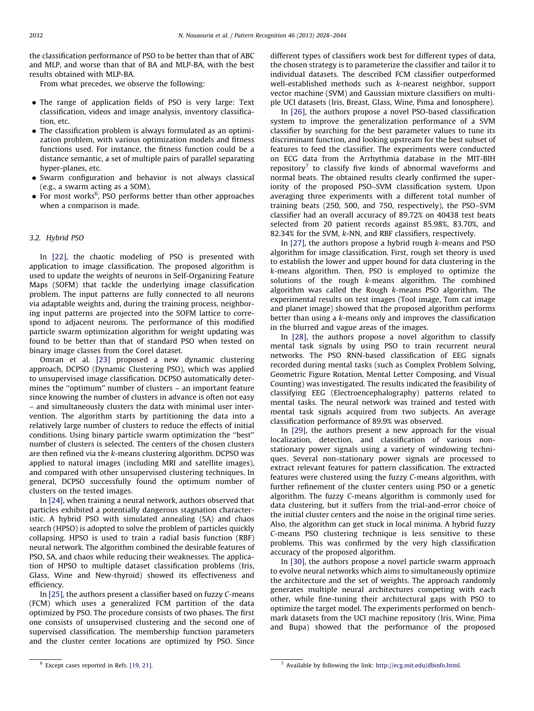the classification performance of PSO to be better than that of ABC and MLP, and worse than that of BA and MLP-BA, with the best results obtained with MLP-BA.

From what precedes, we observe the following:

- The range of application fields of PSO is very large: Text classification, videos and image analysis, inventory classification, etc.
- The classification problem is always formulated as an optimization problem, with various optimization models and fitness functions used. For instance, the fitness function could be a distance semantic, a set of multiple pairs of parallel separating hyper-planes, etc.
- Swarm configuration and behavior is not always classical (e.g., a swarm acting as a SOM).
- For most works<sup>6</sup>, PSO performs better than other approaches when a comparison is made.

### 3.2. Hybrid PSO

In [\[22\],](#page-14-0) the chaotic modeling of PSO is presented with application to image classification. The proposed algorithm is used to update the weights of neurons in Self-Organizing Feature Maps (SOFM) that tackle the underlying image classification problem. The input patterns are fully connected to all neurons via adaptable weights and, during the training process, neighboring input patterns are projected into the SOFM lattice to correspond to adjacent neurons. The performance of this modified particle swarm optimization algorithm for weight updating was found to be better than that of standard PSO when tested on binary image classes from the Corel dataset.

Omran et al. [\[23\]](#page-14-0) proposed a new dynamic clustering approach, DCPSO (Dynamic Clustering PSO), which was applied to unsupervised image classification. DCPSO automatically determines the ''optimum'' number of clusters – an important feature since knowing the number of clusters in advance is often not easy – and simultaneously clusters the data with minimal user intervention. The algorithm starts by partitioning the data into a relatively large number of clusters to reduce the effects of initial conditions. Using binary particle swarm optimization the ''best'' number of clusters is selected. The centers of the chosen clusters are then refined via the k-means clustering algorithm. DCPSO was applied to natural images (including MRI and satellite images), and compared with other unsupervised clustering techniques. In general, DCPSO successfully found the optimum number of clusters on the tested images.

In [\[24\]](#page-14-0), when training a neural network, authors observed that particles exhibited a potentially dangerous stagnation characteristic. A hybrid PSO with simulated annealing (SA) and chaos search (HPSO) is adopted to solve the problem of particles quickly collapsing. HPSO is used to train a radial basis function (RBF) neural network. The algorithm combined the desirable features of PSO, SA, and chaos while reducing their weaknesses. The application of HPSO to multiple dataset classification problems (Iris, Glass, Wine and New-thyroid) showed its effectiveness and efficiency.

In [\[25\],](#page-14-0) the authors present a classifier based on fuzzy C-means (FCM) which uses a generalized FCM partition of the data optimized by PSO. The procedure consists of two phases. The first one consists of unsupervised clustering and the second one of supervised classification. The membership function parameters and the cluster center locations are optimized by PSO. Since different types of classifiers work best for different types of data, the chosen strategy is to parameterize the classifier and tailor it to individual datasets. The described FCM classifier outperformed well-established methods such as k-nearest neighbor, support vector machine (SVM) and Gaussian mixture classifiers on multiple UCI datasets (Iris, Breast, Glass, Wine, Pima and Ionosphere).

In [\[26\]](#page-15-0), the authors propose a novel PSO-based classification system to improve the generalization performance of a SVM classifier by searching for the best parameter values to tune its discriminant function, and looking upstream for the best subset of features to feed the classifier. The experiments were conducted on ECG data from the Arrhythmia database in the MIT-BIH repository<sup>7</sup> to classify five kinds of abnormal waveforms and normal beats. The obtained results clearly confirmed the superiority of the proposed PSO–SVM classification system. Upon averaging three experiments with a different total number of training beats (250, 500, and 750, respectively), the PSO–SVM classifier had an overall accuracy of 89.72% on 40438 test beats selected from 20 patient records against 85.98%, 83.70%, and 82.34% for the SVM, k-NN, and RBF classifiers, respectively.

In [\[27\],](#page-15-0) the authors propose a hybrid rough k-means and PSO algorithm for image classification. First, rough set theory is used to establish the lower and upper bound for data clustering in the k-means algorithm. Then, PSO is employed to optimize the solutions of the rough k-means algorithm. The combined algorithm was called the Rough k-means PSO algorithm. The experimental results on test images (Tool image, Tom cat image and planet image) showed that the proposed algorithm performs better than using a k-means only and improves the classification in the blurred and vague areas of the images.

In [\[28\],](#page-15-0) the authors propose a novel algorithm to classify mental task signals by using PSO to train recurrent neural networks. The PSO RNN-based classification of EEG signals recorded during mental tasks (such as Complex Problem Solving, Geometric Figure Rotation, Mental Letter Composing, and Visual Counting) was investigated. The results indicated the feasibility of classifying EEG (Electroencephalography) patterns related to mental tasks. The neural network was trained and tested with mental task signals acquired from two subjects. An average classification performance of 89.9% was observed.

In [\[29\]](#page-15-0), the authors present a new approach for the visual localization, detection, and classification of various nonstationary power signals using a variety of windowing techniques. Several non-stationary power signals are processed to extract relevant features for pattern classification. The extracted features were clustered using the fuzzy C-means algorithm, with further refinement of the cluster centers using PSO or a genetic algorithm. The fuzzy C-means algorithm is commonly used for data clustering, but it suffers from the trial-and-error choice of the initial cluster centers and the noise in the original time series. Also, the algorithm can get stuck in local minima. A hybrid fuzzy C-means PSO clustering technique is less sensitive to these problems. This was confirmed by the very high classification accuracy of the proposed algorithm.

In [\[30\],](#page-15-0) the authors propose a novel particle swarm approach to evolve neural networks which aims to simultaneously optimize the architecture and the set of weights. The approach randomly generates multiple neural architectures competing with each other, while fine-tuning their architectural gaps with PSO to optimize the target model. The experiments performed on benchmark datasets from the UCI machine repository (Iris, Wine, Pima and Bupa) showed that the performance of the proposed

<sup>6</sup> Except cases reported in Refs. [\[19,](#page-14-0) [21\].](#page-14-0) <sup>7</sup> Available by following the link: [http://ecg.mit.edu/dbinfo.html.](http://ecg.mit.edu/dbinfo.html)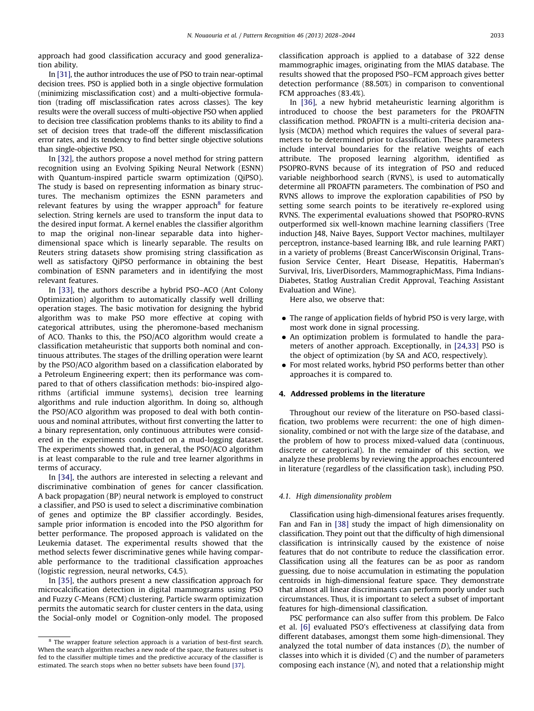<span id="page-5-0"></span>approach had good classification accuracy and good generalization ability.

In [\[31\],](#page-15-0) the author introduces the use of PSO to train near-optimal decision trees. PSO is applied both in a single objective formulation (minimizing misclassification cost) and a multi-objective formulation (trading off misclassification rates across classes). The key results were the overall success of multi-objective PSO when applied to decision tree classification problems thanks to its ability to find a set of decision trees that trade-off the different misclassification error rates, and its tendency to find better single objective solutions than single-objective PSO.

In [\[32\]](#page-15-0), the authors propose a novel method for string pattern recognition using an Evolving Spiking Neural Network (ESNN) with Quantum-inspired particle swarm optimization (QiPSO). The study is based on representing information as binary structures. The mechanism optimizes the ESNN parameters and relevant features by using the wrapper approach $8$  for feature selection. String kernels are used to transform the input data to the desired input format. A kernel enables the classifier algorithm to map the original non-linear separable data into higherdimensional space which is linearly separable. The results on Reuters string datasets show promising string classification as well as satisfactory QiPSO performance in obtaining the best combination of ESNN parameters and in identifying the most relevant features.

In [\[33\]](#page-15-0), the authors describe a hybrid PSO–ACO (Ant Colony Optimization) algorithm to automatically classify well drilling operation stages. The basic motivation for designing the hybrid algorithm was to make PSO more effective at coping with categorical attributes, using the pheromone-based mechanism of ACO. Thanks to this, the PSO/ACO algorithm would create a classification metaheuristic that supports both nominal and continuous attributes. The stages of the drilling operation were learnt by the PSO/ACO algorithm based on a classification elaborated by a Petroleum Engineering expert; then its performance was compared to that of others classification methods: bio-inspired algorithms (artificial immune systems), decision tree learning algorithms and rule induction algorithm. In doing so, although the PSO/ACO algorithm was proposed to deal with both continuous and nominal attributes, without first converting the latter to a binary representation, only continuous attributes were considered in the experiments conducted on a mud-logging dataset. The experiments showed that, in general, the PSO/ACO algorithm is at least comparable to the rule and tree learner algorithms in terms of accuracy.

In [\[34\],](#page-15-0) the authors are interested in selecting a relevant and discriminative combination of genes for cancer classification. A back propagation (BP) neural network is employed to construct a classifier, and PSO is used to select a discriminative combination of genes and optimize the BP classifier accordingly. Besides, sample prior information is encoded into the PSO algorithm for better performance. The proposed approach is validated on the Leukemia dataset. The experimental results showed that the method selects fewer discriminative genes while having comparable performance to the traditional classification approaches (logistic regression, neural networks, C4.5).

In [\[35\],](#page-15-0) the authors present a new classification approach for microcalcification detection in digital mammograms using PSO and Fuzzy C-Means (FCM) clustering. Particle swarm optimization permits the automatic search for cluster centers in the data, using the Social-only model or Cognition-only model. The proposed classification approach is applied to a database of 322 dense mammographic images, originating from the MIAS database. The results showed that the proposed PSO–FCM approach gives better detection performance (88.50%) in comparison to conventional FCM approaches (83.4%).

In [\[36\],](#page-15-0) a new hybrid metaheuristic learning algorithm is introduced to choose the best parameters for the PROAFTN classification method. PROAFTN is a multi-criteria decision analysis (MCDA) method which requires the values of several parameters to be determined prior to classification. These parameters include interval boundaries for the relative weights of each attribute. The proposed learning algorithm, identified as PSOPRO-RVNS because of its integration of PSO and reduced variable neighborhood search (RVNS), is used to automatically determine all PROAFTN parameters. The combination of PSO and RVNS allows to improve the exploration capabilities of PSO by setting some search points to be iteratively re-explored using RVNS. The experimental evaluations showed that PSOPRO-RVNS outperformed six well-known machine learning classifiers (Tree induction J48, Naive Bayes, Support Vector machines, multilayer perceptron, instance-based learning IBk, and rule learning PART) in a variety of problems (Breast CancerWisconsin Original, Transfusion Service Center, Heart Disease, Hepatitis, Haberman's Survival, Iris, LiverDisorders, MammographicMass, Pima Indians-Diabetes, Statlog Australian Credit Approval, Teaching Assistant Evaluation and Wine).

Here also, we observe that:

- The range of application fields of hybrid PSO is very large, with most work done in signal processing.
- An optimization problem is formulated to handle the parameters of another approach. Exceptionally, in [\[24,](#page-14-0)[33\]](#page-15-0) PSO is the object of optimization (by SA and ACO, respectively).
- For most related works, hybrid PSO performs better than other approaches it is compared to.

### 4. Addressed problems in the literature

Throughout our review of the literature on PSO-based classification, two problems were recurrent: the one of high dimensionality, combined or not with the large size of the database, and the problem of how to process mixed-valued data (continuous, discrete or categorical). In the remainder of this section, we analyze these problems by reviewing the approaches encountered in literature (regardless of the classification task), including PSO.

#### 4.1. High dimensionality problem

Classification using high-dimensional features arises frequently. Fan and Fan in [\[38\]](#page-15-0) study the impact of high dimensionality on classification. They point out that the difficulty of high dimensional classification is intrinsically caused by the existence of noise features that do not contribute to reduce the classification error. Classification using all the features can be as poor as random guessing, due to noise accumulation in estimating the population centroids in high-dimensional feature space. They demonstrate that almost all linear discriminants can perform poorly under such circumstances. Thus, it is important to select a subset of important features for high-dimensional classification.

PSC performance can also suffer from this problem. De Falco et al. [\[6\]](#page-14-0) evaluated PSO's effectiveness at classifying data from different databases, amongst them some high-dimensional. They analyzed the total number of data instances  $(D)$ , the number of classes into which it is divided  $(C)$  and the number of parameters composing each instance  $(N)$ , and noted that a relationship might

The wrapper feature selection approach is a variation of best-first search. When the search algorithm reaches a new node of the space, the features subset is fed to the classifier multiple times and the predictive accuracy of the classifier is estimated. The search stops when no better subsets have been found [\[37\].](#page-15-0)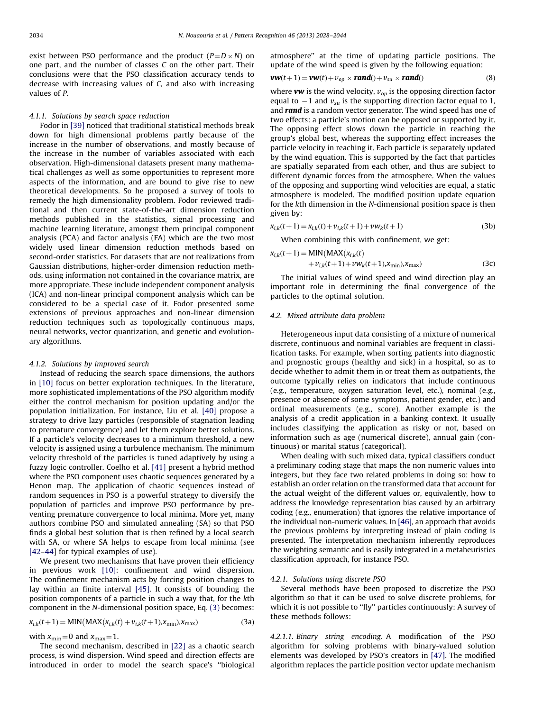exist between PSO performance and the product  $(P = D \times N)$  on one part, and the number of classes C on the other part. Their conclusions were that the PSO classification accuracy tends to decrease with increasing values of C, and also with increasing values of P.

#### 4.1.1. Solutions by search space reduction

Fodor in [\[39\]](#page-15-0) noticed that traditional statistical methods break down for high dimensional problems partly because of the increase in the number of observations, and mostly because of the increase in the number of variables associated with each observation. High-dimensional datasets present many mathematical challenges as well as some opportunities to represent more aspects of the information, and are bound to give rise to new theoretical developments. So he proposed a survey of tools to remedy the high dimensionality problem. Fodor reviewed traditional and then current state-of-the-art dimension reduction methods published in the statistics, signal processing and machine learning literature, amongst them principal component analysis (PCA) and factor analysis (FA) which are the two most widely used linear dimension reduction methods based on second-order statistics. For datasets that are not realizations from Gaussian distributions, higher-order dimension reduction methods, using information not contained in the covariance matrix, are more appropriate. These include independent component analysis (ICA) and non-linear principal component analysis which can be considered to be a special case of it. Fodor presented some extensions of previous approaches and non-linear dimension reduction techniques such as topologically continuous maps, neural networks, vector quantization, and genetic and evolutionary algorithms.

#### 4.1.2. Solutions by improved search

Instead of reducing the search space dimensions, the authors in [\[10\]](#page-14-0) focus on better exploration techniques. In the literature, more sophisticated implementations of the PSO algorithm modify either the control mechanism for position updating and/or the population initialization. For instance, Liu et al. [\[40\]](#page-15-0) propose a strategy to drive lazy particles (responsible of stagnation leading to premature convergence) and let them explore better solutions. If a particle's velocity decreases to a minimum threshold, a new velocity is assigned using a turbulence mechanism. The minimum velocity threshold of the particles is tuned adaptively by using a fuzzy logic controller. Coelho et al. [\[41\]](#page-15-0) present a hybrid method where the PSO component uses chaotic sequences generated by a Henon map. The application of chaotic sequences instead of random sequences in PSO is a powerful strategy to diversify the population of particles and improve PSO performance by preventing premature convergence to local minima. More yet, many authors combine PSO and simulated annealing (SA) so that PSO finds a global best solution that is then refined by a local search with SA, or where SA helps to escape from local minima (see [\[42–44\]](#page-15-0) for typical examples of use).

We present two mechanisms that have proven their efficiency in previous work [\[10\]](#page-14-0): confinement and wind dispersion. The confinement mechanism acts by forcing position changes to lay within an finite interval [\[45\].](#page-15-0) It consists of bounding the position components of a particle in such a way that, for the kth component in the N-dimensional position space, Eq. (3) becomes:

$$
x_{i,k}(t+1) = MIN(MAX(x_{i,k}(t) + v_{i,k}(t+1), x_{\min}), x_{\max})
$$
\n(3a)

with  $x_{\text{min}}=0$  and  $x_{\text{max}}=1$ .

The second mechanism, described in [\[22\]](#page-14-0) as a chaotic search process, is wind dispersion. Wind speed and direction effects are introduced in order to model the search space's ''biological atmosphere'' at the time of updating particle positions. The update of the wind speed is given by the following equation:

$$
\mathbf{vw}(t+1) = \mathbf{vw}(t) + v_{op} \times \mathbf{rand}(t) + v_{su} \times \mathbf{rand}(t) \tag{8}
$$

where **vw** is the wind velocity,  $v_{op}$  is the opposing direction factor equal to  $-1$  and  $v_{su}$  is the supporting direction factor equal to 1, and rand is a random vector generator. The wind speed has one of two effects: a particle's motion can be opposed or supported by it. The opposing effect slows down the particle in reaching the group's global best, whereas the supporting effect increases the particle velocity in reaching it. Each particle is separately updated by the wind equation. This is supported by the fact that particles are spatially separated from each other, and thus are subject to different dynamic forces from the atmosphere. When the values of the opposing and supporting wind velocities are equal, a static atmosphere is modeled. The modified position update equation for the kth dimension in the N-dimensional position space is then given by:

$$
x_{i,k}(t+1) = x_{i,k}(t) + v_{i,k}(t+1) + \nu w_k(t+1)
$$
\n(3b)

When combining this with confinement, we get:

$$
x_{i,k}(t+1) = \text{MIN}(\text{MAX}(x_{i,k}(t) + v_{i,k}(t+1)) + vw_k(t+1), x_{\text{min}}), x_{\text{max}})
$$
\n(3c)

The initial values of wind speed and wind direction play an important role in determining the final convergence of the particles to the optimal solution.

### 4.2. Mixed attribute data problem

Heterogeneous input data consisting of a mixture of numerical discrete, continuous and nominal variables are frequent in classification tasks. For example, when sorting patients into diagnostic and prognostic groups (healthy and sick) in a hospital, so as to decide whether to admit them in or treat them as outpatients, the outcome typically relies on indicators that include continuous (e.g., temperature, oxygen saturation level, etc.), nominal (e.g., presence or absence of some symptoms, patient gender, etc.) and ordinal measurements (e.g., score). Another example is the analysis of a credit application in a banking context. It usually includes classifying the application as risky or not, based on information such as age (numerical discrete), annual gain (continuous) or marital status (categorical).

When dealing with such mixed data, typical classifiers conduct a preliminary coding stage that maps the non numeric values into integers, but they face two related problems in doing so: how to establish an order relation on the transformed data that account for the actual weight of the different values or, equivalently, how to address the knowledge representation bias caused by an arbitrary coding (e.g., enumeration) that ignores the relative importance of the individual non-numeric values. In [\[46\]](#page-15-0), an approach that avoids the previous problems by interpreting instead of plain coding is presented. The interpretation mechanism inherently reproduces the weighting semantic and is easily integrated in a metaheuristics classification approach, for instance PSO.

### 4.2.1. Solutions using discrete PSO

Several methods have been proposed to discretize the PSO algorithm so that it can be used to solve discrete problems, for which it is not possible to ''fly'' particles continuously: A survey of these methods follows:

4.2.1.1. Binary string encoding. A modification of the PSO algorithm for solving problems with binary-valued solution elements was developed by PSO's creators in [\[47\].](#page-15-0) The modified algorithm replaces the particle position vector update mechanism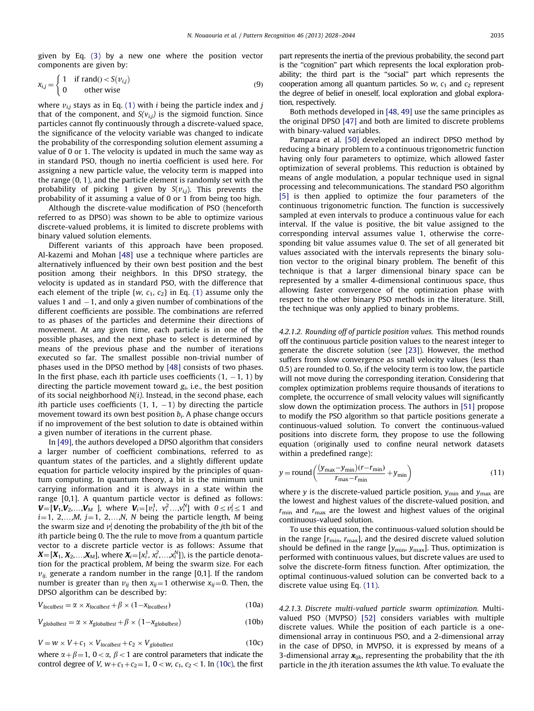given by Eq. (3) by a new one where the position vector components are given by:

$$
x_{i,j} = \begin{cases} 1 & \text{if rand}(0 < S(v_{i,j})) \\ 0 & \text{other wise} \end{cases} \tag{9}
$$

where  $v_{i,j}$  stays as in Eq. (1) with *i* being the particle index and *j* that of the component, and  $S(v_{i,j})$  is the sigmoid function. Since particles cannot fly continuously through a discrete-valued space, the significance of the velocity variable was changed to indicate the probability of the corresponding solution element assuming a value of 0 or 1. The velocity is updated in much the same way as in standard PSO, though no inertia coefficient is used here. For assigning a new particle value, the velocity term is mapped into the range (0, 1), and the particle element is randomly set with the probability of picking 1 given by  $S(v_{i,j})$ . This prevents the probability of it assuming a value of 0 or 1 from being too high.

Although the discrete-value modification of PSO (henceforth referred to as DPSO) was shown to be able to optimize various discrete-valued problems, it is limited to discrete problems with binary valued solution elements.

Different variants of this approach have been proposed. Al-kazemi and Mohan [\[48\]](#page-15-0) use a technique where particles are alternatively influenced by their own best position and the best position among their neighbors. In this DPSO strategy, the velocity is updated as in standard PSO, with the difference that each element of the triple  $\{w, c_1, c_2\}$  in Eq. (1) assume only the values 1 and  $-1$ , and only a given number of combinations of the different coefficients are possible. The combinations are referred to as phases of the particles and determine their directions of movement. At any given time, each particle is in one of the possible phases, and the next phase to select is determined by means of the previous phase and the number of iterations executed so far. The smallest possible non-trivial number of phases used in the DPSO method by [\[48\]](#page-15-0) consists of two phases. In the first phase, each ith particle uses coefficients  $(1, -1, 1)$  by directing the particle movement toward  $g_i$ , i.e., the best position of its social neighborhood  $N(i)$ . Instead, in the second phase, each ith particle uses coefficients  $(1, 1, -1)$  by directing the particle movement toward its own best position  $b_i$ . A phase change occurs if no improvement of the best solution to date is obtained within a given number of iterations in the current phase.

In [\[49\],](#page-15-0) the authors developed a DPSO algorithm that considers a larger number of coefficient combinations, referred to as quantum states of the particles, and a slightly different update equation for particle velocity inspired by the principles of quantum computing. In quantum theory, a bit is the minimum unit carrying information and it is always in a state within the range [0,1]. A quantum particle vector is defined as follows:  $\bm{V} = [\bm{V}_1, \bm{V}_2, ..., \bm{V}_M]$ , where  $\bm{V}_i = [v_i^1, v_i^2..., v_i^N]$  with  $0 \le v_i^j \le 1$  and  $i=1, 2,...,M$ ,  $j=1, 2,...,N$ , N being the particle length, M being the swarm size and  $\nu^j_{\rm i}$  denoting the probability of the  $j$ th bit of the ith particle being 0. The the rule to move from a quantum particle vector to a discrete particle vector is as follows: Assume that  $\textbf{\textit{X}}\!=\![\textbf{\textit{X}}_1, \textbf{\textit{X}}_2, \!... \textbf{\textit{X}}_M]$ , where  $\textbf{\textit{X}}_i\!=\![x_i^1, x_i^2, \!... \! , \! x_i^N])$ , is the particle denotation for the practical problem, M being the swarm size. For each  $v_{ii}$  generate a random number in the range [0,1]. If the random number is greater than  $v_{ij}$  then  $x_{ij}=1$  otherwise  $x_{ij}=0$ . Then, the DPSO algorithm can be described by:

 $V_{localbest} = \alpha \times x_{localbest} + \beta \times (1 - x_{localbest})$  (10a)

$$
V_{globalbest} = \alpha \times x_{globalbest} + \beta \times (1 - x_{globalbest})
$$
 (10b)

$$
V = w \times V + c_1 \times V_{localbest} + c_2 \times V_{globalbest}
$$
 (10c)

where  $\alpha + \beta = 1$ ,  $0 < \alpha$ ,  $\beta < 1$  are control parameters that indicate the control degree of *V*,  $w + c_1 + c_2 = 1$ ,  $0 < w$ ,  $c_1$ ,  $c_2 < 1$ . In (10c), the first part represents the inertia of the previous probability, the second part is the ''cognition'' part which represents the local exploration probability; the third part is the ''social'' part which represents the cooperation among all quantum particles. So  $w$ ,  $c_1$  and  $c_2$  represent the degree of belief in oneself, local exploration and global exploration, respectively.

Both methods developed in [\[48](#page-15-0), [49\]](#page-15-0) use the same principles as the original DPSO [\[47\]](#page-15-0) and both are limited to discrete problems with binary-valued variables.

Pampara et al. [\[50\]](#page-15-0) developed an indirect DPSO method by reducing a binary problem to a continuous trigonometric function having only four parameters to optimize, which allowed faster optimization of several problems. This reduction is obtained by means of angle modulation, a popular technique used in signal processing and telecommunications. The standard PSO algorithm [\[5\]](#page-14-0) is then applied to optimize the four parameters of the continuous trigonometric function. The function is successively sampled at even intervals to produce a continuous value for each interval. If the value is positive, the bit value assigned to the corresponding interval assumes value 1, otherwise the corresponding bit value assumes value 0. The set of all generated bit values associated with the intervals represents the binary solution vector to the original binary problem. The benefit of this technique is that a larger dimensional binary space can be represented by a smaller 4-dimensional continuous space, thus allowing faster convergence of the optimization phase with respect to the other binary PSO methods in the literature. Still, the technique was only applied to binary problems.

4.2.1.2. Rounding off of particle position values. This method rounds off the continuous particle position values to the nearest integer to generate the discrete solution (see [\[23\]\)](#page-14-0). However, the method suffers from slow convergence as small velocity values (less than 0.5) are rounded to 0. So, if the velocity term is too low, the particle will not move during the corresponding iteration. Considering that complex optimization problems require thousands of iterations to complete, the occurrence of small velocity values will significantly slow down the optimization process. The authors in [\[51\]](#page-15-0) propose to modify the PSO algorithm so that particle positions generate a continuous-valued solution. To convert the continuous-valued positions into discrete form, they propose to use the following equation (originally used to confine neural network datasets within a predefined range):

$$
y = round\left(\frac{(y_{\text{max}} - y_{\text{min}})(r - r_{\text{min}})}{r_{\text{max}} - r_{\text{min}}} + y_{\text{min}}\right)
$$
(11)

where y is the discrete-valued particle position,  $y_{\text{min}}$  and  $y_{\text{max}}$  are the lowest and highest values of the discrete-valued position, and  $r_{\rm min}$  and  $r_{\rm max}$  are the lowest and highest values of the original continuous-valued solution.

To use this equation, the continuous-valued solution should be in the range  $[r_{\min}, r_{\max}]$ , and the desired discrete valued solution should be defined in the range  $[y_{\min}, y_{\max}]$ . Thus, optimization is performed with continuous values, but discrete values are used to solve the discrete-form fitness function. After optimization, the optimal continuous-valued solution can be converted back to a discrete value using Eq. (11).

4.2.1.3. Discrete multi-valued particle swarm optimization. Multivalued PSO (MVPSO) [\[52\]](#page-15-0) considers variables with multiple discrete values. While the position of each particle is a onedimensional array in continuous PSO, and a 2-dimensional array in the case of DPSO, in MVPSO, it is expressed by means of a 3-dimensional array  $x_{ijk}$ , representing the probability that the *i*th particle in the jth iteration assumes the kth value. To evaluate the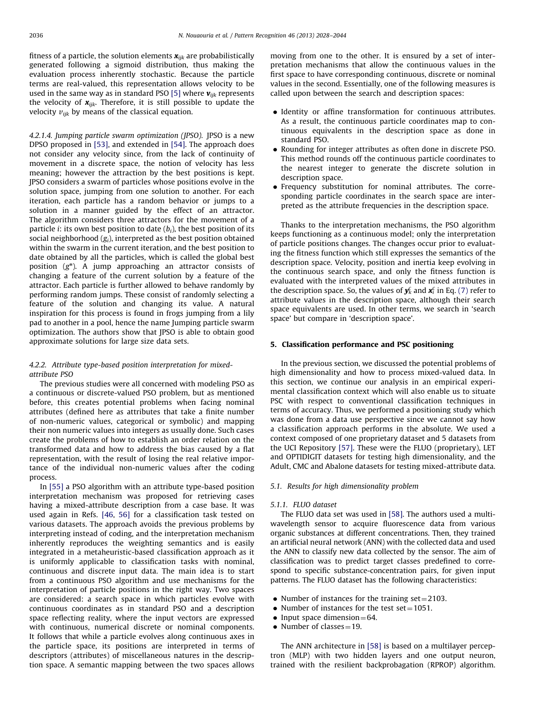<span id="page-8-0"></span>fitness of a particle, the solution elements  $x_{ijk}$  are probabilistically generated following a sigmoid distribution, thus making the evaluation process inherently stochastic. Because the particle terms are real-valued, this representation allows velocity to be used in the same way as in standard PSO [\[5\]](#page-14-0) where  $v_{ijk}$  represents the velocity of  $x_{ijk}$ . Therefore, it is still possible to update the velocity  $v_{ijk}$  by means of the classical equation.

4.2.1.4. Jumping particle swarm optimization (JPSO). JPSO is a new DPSO proposed in [\[53\],](#page-15-0) and extended in [\[54\]](#page-15-0). The approach does not consider any velocity since, from the lack of continuity of movement in a discrete space, the notion of velocity has less meaning; however the attraction by the best positions is kept. JPSO considers a swarm of particles whose positions evolve in the solution space, jumping from one solution to another. For each iteration, each particle has a random behavior or jumps to a solution in a manner guided by the effect of an attractor. The algorithm considers three attractors for the movement of a particle *i*: its own best position to date  $(b<sub>i</sub>)$ , the best position of its social neighborhood  $(g_i)$ , interpreted as the best position obtained within the swarm in the current iteration, and the best position to date obtained by all the particles, which is called the global best position (g\*). A jump approaching an attractor consists of changing a feature of the current solution by a feature of the attractor. Each particle is further allowed to behave randomly by performing random jumps. These consist of randomly selecting a feature of the solution and changing its value. A natural inspiration for this process is found in frogs jumping from a lily pad to another in a pool, hence the name Jumping particle swarm optimization. The authors show that JPSO is able to obtain good approximate solutions for large size data sets.

### 4.2.2. Attribute type-based position interpretation for mixedattribute PSO

The previous studies were all concerned with modeling PSO as a continuous or discrete-valued PSO problem, but as mentioned before, this creates potential problems when facing nominal attributes (defined here as attributes that take a finite number of non-numeric values, categorical or symbolic) and mapping their non numeric values into integers as usually done. Such cases create the problems of how to establish an order relation on the transformed data and how to address the bias caused by a flat representation, with the result of losing the real relative importance of the individual non-numeric values after the coding process.

In [\[55\]](#page-15-0) a PSO algorithm with an attribute type-based position interpretation mechanism was proposed for retrieving cases having a mixed-attribute description from a case base. It was used again in Refs. [\[46](#page-15-0), [56\]](#page-15-0) for a classification task tested on various datasets. The approach avoids the previous problems by interpreting instead of coding, and the interpretation mechanism inherently reproduces the weighting semantics and is easily integrated in a metaheuristic-based classification approach as it is uniformly applicable to classification tasks with nominal, continuous and discrete input data. The main idea is to start from a continuous PSO algorithm and use mechanisms for the interpretation of particle positions in the right way. Two spaces are considered: a search space in which particles evolve with continuous coordinates as in standard PSO and a description space reflecting reality, where the input vectors are expressed with continuous, numerical discrete or nominal components. It follows that while a particle evolves along continuous axes in the particle space, its positions are interpreted in terms of descriptors (attributes) of miscellaneous natures in the description space. A semantic mapping between the two spaces allows moving from one to the other. It is ensured by a set of interpretation mechanisms that allow the continuous values in the first space to have corresponding continuous, discrete or nominal values in the second. Essentially, one of the following measures is called upon between the search and description spaces:

- $\bullet$  Identity or affine transformation for continuous attributes. As a result, the continuous particle coordinates map to continuous equivalents in the description space as done in standard PSO.
- Rounding for integer attributes as often done in discrete PSO. This method rounds off the continuous particle coordinates to the nearest integer to generate the discrete solution in description space.
- Frequency substitution for nominal attributes. The corresponding particle coordinates in the search space are interpreted as the attribute frequencies in the description space.

Thanks to the interpretation mechanisms, the PSO algorithm keeps functioning as a continuous model; only the interpretation of particle positions changes. The changes occur prior to evaluating the fitness function which still expresses the semantics of the description space. Velocity, position and inertia keep evolving in the continuous search space, and only the fitness function is evaluated with the interpreted values of the mixed attributes in the description space. So, the values of  $y_k^c$  and  $x_i^c$  in Eq. (7) refer to attribute values in the description space, although their search space equivalents are used. In other terms, we search in 'search space' but compare in 'description space'.

#### 5. Classification performance and PSC positioning

In the previous section, we discussed the potential problems of high dimensionality and how to process mixed-valued data. In this section, we continue our analysis in an empirical experimental classification context which will also enable us to situate PSC with respect to conventional classification techniques in terms of accuracy. Thus, we performed a positioning study which was done from a data use perspective since we cannot say how a classification approach performs in the absolute. We used a context composed of one proprietary dataset and 5 datasets from the UCI Repository [\[57\].](#page-15-0) These were the FLUO (proprietary), LET and OPTIDIGIT datasets for testing high dimensionality, and the Adult, CMC and Abalone datasets for testing mixed-attribute data.

# 5.1. Results for high dimensionality problem

### 5.1.1. FLUO dataset

The FLUO data set was used in [\[58\]](#page-15-0). The authors used a multiwavelength sensor to acquire fluorescence data from various organic substances at different concentrations. Then, they trained an artificial neural network (ANN) with the collected data and used the ANN to classify new data collected by the sensor. The aim of classification was to predict target classes predefined to correspond to specific substance-concentration pairs, for given input patterns. The FLUO dataset has the following characteristics:

- Number of instances for the training set =  $2103$ .
- Number of instances for the test set =  $1051$ .
- Input space dimension  $=64$ .
- Number of classes  $=19$ .

The ANN architecture in [\[58\]](#page-15-0) is based on a multilayer perceptron (MLP) with two hidden layers and one output neuron, trained with the resilient backprobagation (RPROP) algorithm.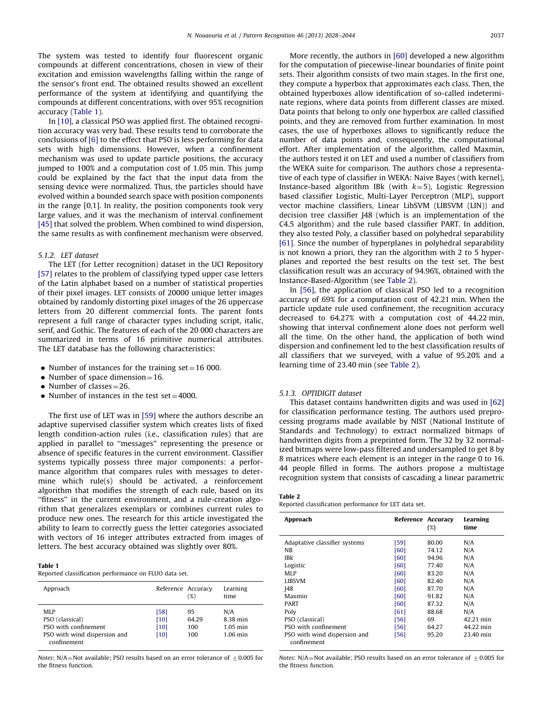The system was tested to identify four fluorescent organic compounds at different concentrations, chosen in view of their excitation and emission wavelengths falling within the range of the sensor's front end. The obtained results showed an excellent performance of the system at identifying and quantifying the compounds at different concentrations, with over 95% recognition accuracy (Table 1).

In [\[10\],](#page-14-0) a classical PSO was applied first. The obtained recognition accuracy was very bad. These results tend to corroborate the conclusions of [\[6\]](#page-14-0) to the effect that PSO is less performing for data sets with high dimensions. However, when a confinement mechanism was used to update particle positions, the accuracy jumped to 100% and a computation cost of 1.05 min. This jump could be explained by the fact that the input data from the sensing device were normalized. Thus, the particles should have evolved within a bounded search space with position components in the range [0,1]. In reality, the position components took very large values, and it was the mechanism of interval confinement [\[45\]](#page-15-0) that solved the problem. When combined to wind dispersion, the same results as with confinement mechanism were observed.

### 5.1.2. LET dataset

The LET (for Letter recognition) dataset in the UCI Repository [\[57\]](#page-15-0) relates to the problem of classifying typed upper case letters of the Latin alphabet based on a number of statistical properties of their pixel images. LET consists of 20000 unique letter images obtained by randomly distorting pixel images of the 26 uppercase letters from 20 different commercial fonts. The parent fonts represent a full range of character types including script, italic, serif, and Gothic. The features of each of the 20 000 characters are summarized in terms of 16 primitive numerical attributes. The LET database has the following characteristics:

- Number of instances for the training set =  $16000$ .
- Number of space dimension  $=16$ .
- Number of classes $=26$ .
- Number of instances in the test set $=4000$ .

The first use of LET was in [\[59\]](#page-15-0) where the authors describe an adaptive supervised classifier system which creates lists of fixed length condition-action rules (i.e., classification rules) that are applied in parallel to ''messages'' representing the presence or absence of specific features in the current environment. Classifier systems typically possess three major components: a performance algorithm that compares rules with messages to determine which rule(s) should be activated, a reinforcement algorithm that modifies the strength of each rule, based on its ''fitness'' in the current environment, and a rule-creation algorithm that generalizes exemplars or combines current rules to produce new ones. The research for this article investigated the ability to learn to correctly guess the letter categories associated with vectors of 16 integer attributes extracted from images of letters. The best accuracy obtained was slightly over 80%.

#### Table 1

Reported classification performance on FLUO data set.

| Approach                                                                                      | Reference Accuracy           | (%)                       | Learning<br>time                            |
|-----------------------------------------------------------------------------------------------|------------------------------|---------------------------|---------------------------------------------|
| MLP<br>PSO (classical)<br>PSO with confinement<br>PSO with wind dispersion and<br>confinement | [58]<br>[10]<br>[10]<br>[10] | 95<br>64.29<br>100<br>100 | N/A<br>8.38 min<br>$1.05$ min<br>$1.06$ min |

Notes: N/A=Not available; PSO results based on an error tolerance of  $\pm$  0.005 for the fitness function.

More recently, the authors in [\[60\]](#page-15-0) developed a new algorithm for the computation of piecewise-linear boundaries of finite point sets. Their algorithm consists of two main stages. In the first one, they compute a hyperbox that approximates each class. Then, the obtained hyperboxes allow identification of so-called indeterminate regions, where data points from different classes are mixed. Data points that belong to only one hyperbox are called classified points, and they are removed from further examination. In most cases, the use of hyperboxes allows to significantly reduce the number of data points and, consequently, the computational effort. After implementation of the algorithm, called Maxmin, the authors tested it on LET and used a number of classifiers from the WEKA suite for comparison. The authors chose a representative of each type of classifier in WEKA: Naive Bayes (with kernel), Instance-based algorithm IBk (with  $k=5$ ), Logistic Regression based classifier Logistic, Multi-Layer Perceptron (MLP), support vector machine classifiers, Linear LibSVM (LIBSVM (LIN)) and decision tree classifier J48 (which is an implementation of the C4.5 algorithm) and the rule based classifier PART. In addition, they also tested Poly, a classifier based on polyhedral separability [\[61\]](#page-15-0). Since the number of hyperplanes in polyhedral separability is not known a priori, they ran the algorithm with 2 to 5 hyperplanes and reported the best results on the test set. The best classification result was an accuracy of 94.96%, obtained with the Instance-Based-Algorithm (see Table 2).

In [\[56\],](#page-15-0) the application of classical PSO led to a recognition accuracy of 69% for a computation cost of 42.21 min. When the particle update rule used confinement, the recognition accuracy decreased to 64.27% with a computation cost of 44.22 min, showing that interval confinement alone does not perform well all the time. On the other hand, the application of both wind dispersion and confinement led to the best classification results of all classifiers that we surveyed, with a value of 95.20% and a learning time of 23.40 min (see Table 2).

### 5.1.3. OPTIDIGIT dataset

This dataset contains handwritten digits and was used in [\[62\]](#page-15-0) for classification performance testing. The authors used preprocessing programs made available by NIST (National Institute of Standards and Technology) to extract normalized bitmaps of handwritten digits from a preprinted form. The 32 by 32 normalized bitmaps were low-pass filtered and undersampled to get 8 by 8 matrices where each element is an integer in the range 0 to 16. 44 people filled in forms. The authors propose a multistage recognition system that consists of cascading a linear parametric

#### Table 2

| Reported classification performance for LET data set. |  |
|-------------------------------------------------------|--|
|-------------------------------------------------------|--|

| Approach                                    | Reference Accuracy | (%)   | Learning<br>time |
|---------------------------------------------|--------------------|-------|------------------|
| Adaptative classifier systems               | [59]               | 80.00 | N/A              |
| <b>NB</b>                                   | [60]               | 74.12 | N/A              |
| IBk                                         | [60]               | 94.96 | N/A              |
| Logistic                                    | [60]               | 77.40 | N/A              |
| MLP                                         | [60]               | 83.20 | N/A              |
| LIBSVM                                      | [60]               | 82.40 | N/A              |
| 148                                         | [60]               | 87.70 | N/A              |
| Maxmin                                      | [60]               | 91.82 | N/A              |
| <b>PART</b>                                 | [60]               | 87.32 | N/A              |
| Poly                                        | [61]               | 88.68 | N/A              |
| PSO (classical)                             | [56]               | 69    | 42.21 min        |
| PSO with confinement                        | [56]               | 64.27 | 44.22 min        |
| PSO with wind dispersion and<br>confinement | [56]               | 95.20 | 23.40 min        |

Notes: N/A=Not available; PSO results based on an error tolerance of  $\pm$  0.005 for the fitness function.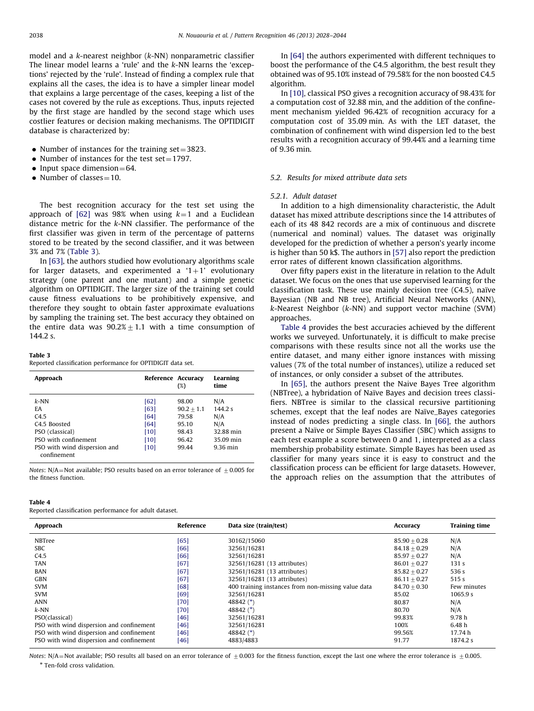<span id="page-10-0"></span>model and a k-nearest neighbor (k-NN) nonparametric classifier The linear model learns a 'rule' and the k-NN learns the 'exceptions' rejected by the 'rule'. Instead of finding a complex rule that explains all the cases, the idea is to have a simpler linear model that explains a large percentage of the cases, keeping a list of the cases not covered by the rule as exceptions. Thus, inputs rejected by the first stage are handled by the second stage which uses costlier features or decision making mechanisms. The OPTIDIGIT database is characterized by:

- Number of instances for the training set =  $3823$ .
- Number of instances for the test set  $= 1797$ .
- $\bullet$  Input space dimension = 64.
- Number of classes  $=10$ .

The best recognition accuracy for the test set using the approach of [\[62\]](#page-15-0) was 98% when using  $k=1$  and a Euclidean distance metric for the k-NN classifier. The performance of the first classifier was given in term of the percentage of patterns stored to be treated by the second classifier, and it was between 3% and 7% (Table 3).

In [\[63\]](#page-15-0), the authors studied how evolutionary algorithms scale for larger datasets, and experimented a ' $1+1$ ' evolutionary strategy (one parent and one mutant) and a simple genetic algorithm on OPTIDIGIT. The larger size of the training set could cause fitness evaluations to be prohibitively expensive, and therefore they sought to obtain faster approximate evaluations by sampling the training set. The best accuracy they obtained on the entire data was  $90.2\% \pm 1.1$  with a time consumption of 144.2 s.

#### Table 3

Reported classification performance for OPTIDIGIT data set.

| Approach                                    | Reference Accuracy | (%)          | Learning<br>time |
|---------------------------------------------|--------------------|--------------|------------------|
| $k-NN$                                      | [62]               | 98.00        | N/A              |
| EA                                          | [63]               | $90.2 + 1.1$ | 144.2 s          |
| C4.5                                        | [64]               | 79.58        | N/A              |
| C <sub>4.5</sub> Boosted                    | [64]               | 95.10        | N/A              |
| PSO (classical)                             | [10]               | 98.43        | 32.88 min        |
| PSO with confinement                        | [10]               | 96.42        | 35.09 min        |
| PSO with wind dispersion and<br>confinement | [10]               | 99.44        | $9.36$ min       |

Notes: N/A=Not available; PSO results based on an error tolerance of  $\pm$ 0.005 for the fitness function.

#### Table 4

Reported classification performance for adult dataset.

In [\[64\]](#page-15-0) the authors experimented with different techniques to boost the performance of the C4.5 algorithm, the best result they obtained was of 95.10% instead of 79.58% for the non boosted C4.5 algorithm.

In [\[10\]](#page-14-0), classical PSO gives a recognition accuracy of 98.43% for a computation cost of 32.88 min, and the addition of the confinement mechanism yielded 96.42% of recognition accuracy for a computation cost of 35.09 min. As with the LET dataset, the combination of confinement with wind dispersion led to the best results with a recognition accuracy of 99.44% and a learning time of 9.36 min.

### 5.2. Results for mixed attribute data sets

### 5.2.1. Adult dataset

In addition to a high dimensionality characteristic, the Adult dataset has mixed attribute descriptions since the 14 attributes of each of its 48 842 records are a mix of continuous and discrete (numerical and nominal) values. The dataset was originally developed for the prediction of whether a person's yearly income is higher than 50 k\$. The authors in [\[57\]](#page-15-0) also report the prediction error rates of different known classification algorithms.

Over fifty papers exist in the literature in relation to the Adult dataset. We focus on the ones that use supervised learning for the classification task. These use mainly decision tree  $(C4.5)$ , naïve Bayesian (NB and NB tree), Artificial Neural Networks (ANN),  $k$ -Nearest Neighbor ( $k$ -NN) and support vector machine (SVM) approaches.

Table 4 provides the best accuracies achieved by the different works we surveyed. Unfortunately, it is difficult to make precise comparisons with these results since not all the works use the entire dataset, and many either ignore instances with missing values (7% of the total number of instances), utilize a reduced set of instances, or only consider a subset of the attributes.

In [\[65\],](#page-15-0) the authors present the Naive Bayes Tree algorithm (NBTree), a hybridation of Naïve Bayes and decision trees classifiers. NBTree is similar to the classical recursive partitioning schemes, except that the leaf nodes are Naïve\_Bayes categories instead of nodes predicting a single class. In [\[66\]](#page-15-0), the authors present a Naïve or Simple Bayes Classifier (SBC) which assigns to each test example a score between 0 and 1, interpreted as a class membership probability estimate. Simple Bayes has been used as classifier for many years since it is easy to construct and the classification process can be efficient for large datasets. However, the approach relies on the assumption that the attributes of

| Approach                                 | Reference | Data size (train/test)                             | Accuracy       | <b>Training time</b> |
|------------------------------------------|-----------|----------------------------------------------------|----------------|----------------------|
| NBTree                                   | [65]      | 30162/15060                                        | $85.90 + 0.28$ | N/A                  |
| <b>SBC</b>                               | [66]      | 32561/16281                                        | $84.18 + 0.29$ | N/A                  |
| C4.5                                     | $[66]$    | 32561/16281                                        | $85.97 + 0.27$ | N/A                  |
| <b>TAN</b>                               | $[67]$    | 32561/16281 (13 attributes)                        | $86.01 + 0.27$ | 131 <sub>s</sub>     |
| BAN                                      | [67]      | 32561/16281 (13 attributes)                        | $85.82 + 0.27$ | 536 s                |
| GBN                                      | $[67]$    | 32561/16281 (13 attributes)                        | $86.11 + 0.27$ | 515s                 |
| <b>SVM</b>                               | [68]      | 400 training instances from non-missing value data | $84.70 + 0.30$ | Few minutes          |
| <b>SVM</b>                               | [69]      | 32561/16281                                        | 85.02          | 1065.9 s             |
| ANN                                      | [70]      | 48842 $(*)$                                        | 80.87          | N/A                  |
| $k-NN$                                   | [70]      | 48842 $(*)$                                        | 80.70          | N/A                  |
| PSO(classical)                           | [46]      | 32561/16281                                        | 99.83%         | 9.78h                |
| PSO with wind dispersion and confinement | [46]      | 32561/16281                                        | 100%           | 6.48 h               |
| PSO with wind dispersion and confinement | $[46]$    | 48842 $(*)$                                        | 99.56%         | 17.74h               |
| PSO with wind dispersion and confinement | [46]      | 4883/4883                                          | 91.77          | 1874.2 s             |

Notes: N/A=Not available; PSO results all based on an error tolerance of  $\pm$  0.003 for the fitness function, except the last one where the error tolerance is  $\pm$  0.005. \* Ten-fold cross validation.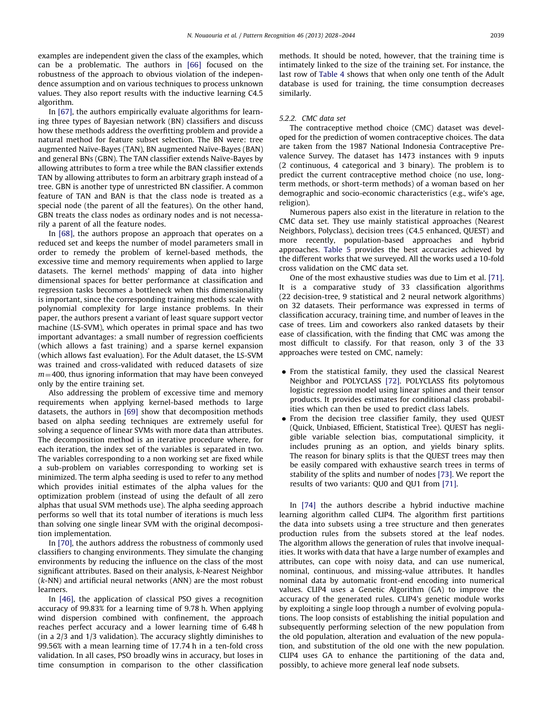examples are independent given the class of the examples, which can be a problematic. The authors in [\[66\]](#page-15-0) focused on the robustness of the approach to obvious violation of the independence assumption and on various techniques to process unknown values. They also report results with the inductive learning C4.5 algorithm.

In [\[67\],](#page-15-0) the authors empirically evaluate algorithms for learning three types of Bayesian network (BN) classifiers and discuss how these methods address the overfitting problem and provide a natural method for feature subset selection. The BN were: tree augmented Naïve-Bayes (TAN), BN augmented Naïve-Bayes (BAN) and general BNs (GBN). The TAN classifier extends Naïve-Bayes by allowing attributes to form a tree while the BAN classifier extends TAN by allowing attributes to form an arbitrary graph instead of a tree. GBN is another type of unrestricted BN classifier. A common feature of TAN and BAN is that the class node is treated as a special node (the parent of all the features). On the other hand, GBN treats the class nodes as ordinary nodes and is not necessarily a parent of all the feature nodes.

In [\[68\]](#page-15-0), the authors propose an approach that operates on a reduced set and keeps the number of model parameters small in order to remedy the problem of kernel-based methods, the excessive time and memory requirements when applied to large datasets. The kernel methods' mapping of data into higher dimensional spaces for better performance at classification and regression tasks becomes a bottleneck when this dimensionality is important, since the corresponding training methods scale with polynomial complexity for large instance problems. In their paper, the authors present a variant of least square support vector machine (LS-SVM), which operates in primal space and has two important advantages: a small number of regression coefficients (which allows a fast training) and a sparse kernel expansion (which allows fast evaluation). For the Adult dataset, the LS-SVM was trained and cross-validated with reduced datasets of size  $m=400$ , thus ignoring information that may have been conveyed only by the entire training set.

Also addressing the problem of excessive time and memory requirements when applying kernel-based methods to large datasets, the authors in [\[69\]](#page-15-0) show that decomposition methods based on alpha seeding techniques are extremely useful for solving a sequence of linear SVMs with more data than attributes. The decomposition method is an iterative procedure where, for each iteration, the index set of the variables is separated in two. The variables corresponding to a non working set are fixed while a sub-problem on variables corresponding to working set is minimized. The term alpha seeding is used to refer to any method which provides initial estimates of the alpha values for the optimization problem (instead of using the default of all zero alphas that usual SVM methods use). The alpha seeding approach performs so well that its total number of iterations is much less than solving one single linear SVM with the original decomposition implementation.

In [\[70\]](#page-15-0), the authors address the robustness of commonly used classifiers to changing environments. They simulate the changing environments by reducing the influence on the class of the most significant attributes. Based on their analysis, k-Nearest Neighbor (k-NN) and artificial neural networks (ANN) are the most robust learners.

In [\[46\],](#page-15-0) the application of classical PSO gives a recognition accuracy of 99.83% for a learning time of 9.78 h. When applying wind dispersion combined with confinement, the approach reaches perfect accuracy and a lower learning time of 6.48 h (in a 2/3 and 1/3 validation). The accuracy slightly diminishes to 99.56% with a mean learning time of 17.74 h in a ten-fold cross validation. In all cases, PSO broadly wins in accuracy, but loses in time consumption in comparison to the other classification methods. It should be noted, however, that the training time is intimately linked to the size of the training set. For instance, the last row of [Table 4](#page-10-0) shows that when only one tenth of the Adult database is used for training, the time consumption decreases similarly.

### 5.2.2. CMC data set

The contraceptive method choice (CMC) dataset was developed for the prediction of women contraceptive choices. The data are taken from the 1987 National Indonesia Contraceptive Prevalence Survey. The dataset has 1473 instances with 9 inputs (2 continuous, 4 categorical and 3 binary). The problem is to predict the current contraceptive method choice (no use, longterm methods, or short-term methods) of a woman based on her demographic and socio-economic characteristics (e.g., wife's age, religion).

Numerous papers also exist in the literature in relation to the CMC data set. They use mainly statistical approaches (Nearest Neighbors, Polyclass), decision trees (C4.5 enhanced, QUEST) and more recently, population-based approaches and hybrid approaches. [Table 5](#page-12-0) provides the best accuracies achieved by the different works that we surveyed. All the works used a 10-fold cross validation on the CMC data set.

One of the most exhaustive studies was due to Lim et al. [\[71\].](#page-15-0) It is a comparative study of 33 classification algorithms (22 decision-tree, 9 statistical and 2 neural network algorithms) on 32 datasets. Their performance was expressed in terms of classification accuracy, training time, and number of leaves in the case of trees. Lim and coworkers also ranked datasets by their ease of classification, with the finding that CMC was among the most difficult to classify. For that reason, only 3 of the 33 approaches were tested on CMC, namely:

- From the statistical family, they used the classical Nearest Neighbor and POLYCLASS [\[72\].](#page-15-0) POLYCLASS fits polytomous logistic regression model using linear splines and their tensor products. It provides estimates for conditional class probabilities which can then be used to predict class labels.
- From the decision tree classifier family, they used QUEST (Quick, Unbiased, Efficient, Statistical Tree). QUEST has negligible variable selection bias, computational simplicity, it includes pruning as an option, and yields binary splits. The reason for binary splits is that the QUEST trees may then be easily compared with exhaustive search trees in terms of stability of the splits and number of nodes [\[73\]](#page-15-0). We report the results of two variants: QU0 and QU1 from [\[71\]](#page-15-0).

In [\[74\]](#page-15-0) the authors describe a hybrid inductive machine learning algorithm called CLIP4. The algorithm first partitions the data into subsets using a tree structure and then generates production rules from the subsets stored at the leaf nodes. The algorithm allows the generation of rules that involve inequalities. It works with data that have a large number of examples and attributes, can cope with noisy data, and can use numerical, nominal, continuous, and missing-value attributes. It handles nominal data by automatic front-end encoding into numerical values. CLIP4 uses a Genetic Algorithm (GA) to improve the accuracy of the generated rules. CLIP4's genetic module works by exploiting a single loop through a number of evolving populations. The loop consists of establishing the initial population and subsequently performing selection of the new population from the old population, alteration and evaluation of the new population, and substitution of the old one with the new population. CLIP4 uses GA to enhance the partitioning of the data and, possibly, to achieve more general leaf node subsets.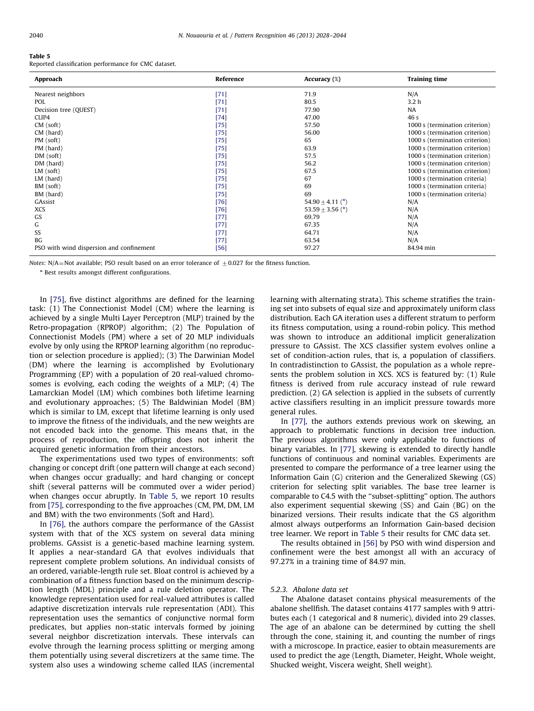#### <span id="page-12-0"></span>Table 5

Reported classification performance for CMC dataset.

| Approach                                 | Reference | Accuracy $(\%)$      | <b>Training time</b>           |
|------------------------------------------|-----------|----------------------|--------------------------------|
| Nearest neighbors                        | $[71]$    | 71.9                 | N/A                            |
| POL                                      | $[71]$    | 80.5                 | 3.2 <sub>h</sub>               |
| Decision tree (QUEST)                    | $[71]$    | 77.90                | <b>NA</b>                      |
| CLIP4                                    | $[74]$    | 47.00                | 46s                            |
| $CM$ (soft)                              | $[75]$    | 57.50                | 1000 s (termination criterion) |
| $CM$ (hard)                              | $[75]$    | 56.00                | 1000 s (termination criterion) |
| PM (soft)                                | $[75]$    | 65                   | 1000 s (termination criterion) |
| PM (hard)                                | $[75]$    | 63.9                 | 1000 s (termination criterion) |
| DM (soft)                                | $[75]$    | 57.5                 | 1000 s (termination criterion) |
| DM (hard)                                | $[75]$    | 56.2                 | 1000 s (termination criterion) |
| $LM$ (soft)                              | $[75]$    | 67.5                 | 1000 s (termination criterion) |
| $LM$ (hard)                              | $[75]$    | 67                   | 1000 s (termination criteria)  |
| BM (soft)                                | $[75]$    | 69                   | 1000 s (termination criteria)  |
| BM (hard)                                | $[75]$    | 69                   | 1000 s (termination criteria)  |
| GAssist                                  | $[76]$    | 54.90 $\pm$ 4.11 (*) | N/A                            |
| XCS                                      | $[76]$    | $53.59 + 3.56$ (*)   | N/A                            |
| GS                                       | $[77]$    | 69.79                | N/A                            |
| G                                        | $[77]$    | 67.35                | N/A                            |
| SS                                       | $[77]$    | 64.71                | N/A                            |
| <b>BG</b>                                | $[77]$    | 63.54                | N/A                            |
| PSO with wind dispersion and confinement | $[56]$    | 97.27                | 84.94 min                      |

Notes: N/A=Not available; PSO result based on an error tolerance of  $\pm$  0.027 for the fitness function.

\* Best results amongst different configurations.

In [\[75\],](#page-15-0) five distinct algorithms are defined for the learning task: (1) The Connectionist Model (CM) where the learning is achieved by a single Multi Layer Perceptron (MLP) trained by the Retro-propagation (RPROP) algorithm; (2) The Population of Connectionist Models (PM) where a set of 20 MLP individuals evolve by only using the RPROP learning algorithm (no reproduction or selection procedure is applied); (3) The Darwinian Model (DM) where the learning is accomplished by Evolutionary Programming (EP) with a population of 20 real-valued chromosomes is evolving, each coding the weights of a MLP; (4) The Lamarckian Model (LM) which combines both lifetime learning and evolutionary approaches; (5) The Baldwinian Model (BM) which is similar to LM, except that lifetime learning is only used to improve the fitness of the individuals, and the new weights are not encoded back into the genome. This means that, in the process of reproduction, the offspring does not inherit the acquired genetic information from their ancestors.

The experimentations used two types of environments: soft changing or concept drift (one pattern will change at each second) when changes occur gradually; and hard changing or concept shift (several patterns will be commuted over a wider period) when changes occur abruptly. In Table 5, we report 10 results from [\[75\]](#page-15-0), corresponding to the five approaches (CM, PM, DM, LM and BM) with the two environments (Soft and Hard).

In [\[76\]](#page-15-0), the authors compare the performance of the GAssist system with that of the XCS system on several data mining problems. GAssist is a genetic-based machine learning system. It applies a near-standard GA that evolves individuals that represent complete problem solutions. An individual consists of an ordered, variable-length rule set. Bloat control is achieved by a combination of a fitness function based on the minimum description length (MDL) principle and a rule deletion operator. The knowledge representation used for real-valued attributes is called adaptive discretization intervals rule representation (ADI). This representation uses the semantics of conjunctive normal form predicates, but applies non-static intervals formed by joining several neighbor discretization intervals. These intervals can evolve through the learning process splitting or merging among them potentially using several discretizers at the same time. The system also uses a windowing scheme called ILAS (incremental learning with alternating strata). This scheme stratifies the training set into subsets of equal size and approximately uniform class distribution. Each GA iteration uses a different stratum to perform its fitness computation, using a round-robin policy. This method was shown to introduce an additional implicit generalization pressure to GAssist. The XCS classifier system evolves online a set of condition-action rules, that is, a population of classifiers. In contradistinction to GAssist, the population as a whole represents the problem solution in XCS. XCS is featured by: (1) Rule fitness is derived from rule accuracy instead of rule reward prediction. (2) GA selection is applied in the subsets of currently active classifiers resulting in an implicit pressure towards more general rules.

In [\[77\]](#page-15-0), the authors extends previous work on skewing, an approach to problematic functions in decision tree induction. The previous algorithms were only applicable to functions of binary variables. In [\[77\]](#page-15-0), skewing is extended to directly handle functions of continuous and nominal variables. Experiments are presented to compare the performance of a tree learner using the Information Gain (G) criterion and the Generalized Skewing (GS) criterion for selecting split variables. The base tree learner is comparable to C4.5 with the ''subset-splitting'' option. The authors also experiment sequential skewing (SS) and Gain (BG) on the binarized versions. Their results indicate that the GS algorithm almost always outperforms an Information Gain-based decision tree learner. We report in Table 5 their results for CMC data set.

The results obtained in [\[56\]](#page-15-0) by PSO with wind dispersion and confinement were the best amongst all with an accuracy of 97.27% in a training time of 84.97 min.

#### 5.2.3. Abalone data set

The Abalone dataset contains physical measurements of the abalone shellfish. The dataset contains 4177 samples with 9 attributes each (1 categorical and 8 numeric), divided into 29 classes. The age of an abalone can be determined by cutting the shell through the cone, staining it, and counting the number of rings with a microscope. In practice, easier to obtain measurements are used to predict the age (Length, Diameter, Height, Whole weight, Shucked weight, Viscera weight, Shell weight).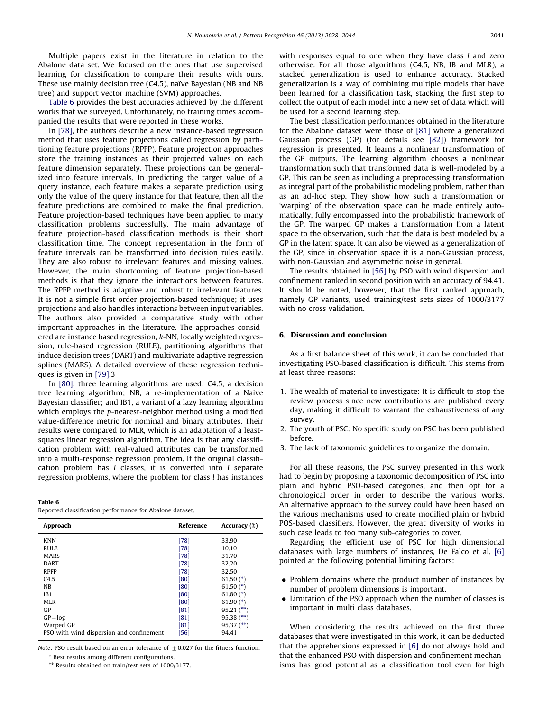<span id="page-13-0"></span>Multiple papers exist in the literature in relation to the Abalone data set. We focused on the ones that use supervised learning for classification to compare their results with ours. These use mainly decision tree (C4.5), naïve Bayesian (NB and NB tree) and support vector machine (SVM) approaches.

Table 6 provides the best accuracies achieved by the different works that we surveyed. Unfortunately, no training times accompanied the results that were reported in these works.

In [\[78\],](#page-15-0) the authors describe a new instance-based regression method that uses feature projections called regression by partitioning feature projections (RPFP). Feature projection approaches store the training instances as their projected values on each feature dimension separately. These projections can be generalized into feature intervals. In predicting the target value of a query instance, each feature makes a separate prediction using only the value of the query instance for that feature, then all the feature predictions are combined to make the final prediction. Feature projection-based techniques have been applied to many classification problems successfully. The main advantage of feature projection-based classification methods is their short classification time. The concept representation in the form of feature intervals can be transformed into decision rules easily. They are also robust to irrelevant features and missing values. However, the main shortcoming of feature projection-based methods is that they ignore the interactions between features. The RPFP method is adaptive and robust to irrelevant features. It is not a simple first order projection-based technique; it uses projections and also handles interactions between input variables. The authors also provided a comparative study with other important approaches in the literature. The approaches considered are instance based regression, k-NN, locally weighted regression, rule-based regression (RULE), partitioning algorithms that induce decision trees (DART) and multivariate adaptive regression splines (MARS). A detailed overview of these regression techniques is given in [\[79\].](#page-15-0)3

In [\[80\]](#page-15-0), three learning algorithms are used: C4.5, a decision tree learning algorithm; NB, a re-implementation of a Naive Bayesian classifier; and IB1, a variant of a lazy learning algorithm which employs the *p*-nearest-neighbor method using a modified value-difference metric for nominal and binary attributes. Their results were compared to MLR, which is an adaptation of a leastsquares linear regression algorithm. The idea is that any classification problem with real-valued attributes can be transformed into a multi-response regression problem. If the original classification problem has I classes, it is converted into I separate regression problems, where the problem for class l has instances

#### Table 6

Reported classification performance for Abalone dataset.

| Approach                                 | Reference | <b>Accuracy</b> (%) |
|------------------------------------------|-----------|---------------------|
| <b>KNN</b>                               | [78]      | 33.90               |
| <b>RULE</b>                              | [78]      | 10.10               |
| <b>MARS</b>                              | [78]      | 31.70               |
| <b>DART</b>                              | [78]      | 32.20               |
| <b>RPFP</b>                              | [78]      | 32.50               |
| C4.5                                     | [80]      | 61.50 $(*)$         |
| NB                                       | [80]      | 61.50 $(*)$         |
| IB <sub>1</sub>                          | [80]      | 61.80 $(*)$         |
| <b>MLR</b>                               | [80]      | 61.90 $(*)$         |
| GP                                       | [81]      | $95.21$ (**)        |
| $GP + log$                               | [81]      | $95.38$ (**)        |
| Warped GP                                | [81]      | $95.37$ (**)        |
| PSO with wind dispersion and confinement | [56]      | 94.41               |

Note: PSO result based on an error tolerance of  $\pm$  0.027 for the fitness function. \* Best results among different configurations.

\*\* Results obtained on train/test sets of 1000/3177.

with responses equal to one when they have class  $l$  and zero otherwise. For all those algorithms (C4.5, NB, IB and MLR), a stacked generalization is used to enhance accuracy. Stacked generalization is a way of combining multiple models that have been learned for a classification task, stacking the first step to collect the output of each model into a new set of data which will be used for a second learning step.

The best classification performances obtained in the literature for the Abalone dataset were those of [\[81\]](#page-16-0) where a generalized Gaussian process (GP) (for details see [\[82\]\)](#page-16-0) framework for regression is presented. It learns a nonlinear transformation of the GP outputs. The learning algorithm chooses a nonlinear transformation such that transformed data is well-modeled by a GP. This can be seen as including a preprocessing transformation as integral part of the probabilistic modeling problem, rather than as an ad-hoc step. They show how such a transformation or 'warping' of the observation space can be made entirely automatically, fully encompassed into the probabilistic framework of the GP. The warped GP makes a transformation from a latent space to the observation, such that the data is best modeled by a GP in the latent space. It can also be viewed as a generalization of the GP, since in observation space it is a non-Gaussian process, with non-Gaussian and asymmetric noise in general.

The results obtained in [\[56\]](#page-15-0) by PSO with wind dispersion and confinement ranked in second position with an accuracy of 94.41. It should be noted, however, that the first ranked approach, namely GP variants, used training/test sets sizes of 1000/3177 with no cross validation.

### 6. Discussion and conclusion

As a first balance sheet of this work, it can be concluded that investigating PSO-based classification is difficult. This stems from at least three reasons:

- 1. The wealth of material to investigate: It is difficult to stop the review process since new contributions are published every day, making it difficult to warrant the exhaustiveness of any survey.
- 2. The youth of PSC: No specific study on PSC has been published before.
- 3. The lack of taxonomic guidelines to organize the domain.

For all these reasons, the PSC survey presented in this work had to begin by proposing a taxonomic decomposition of PSC into plain and hybrid PSO-based categories, and then opt for a chronological order in order to describe the various works. An alternative approach to the survey could have been based on the various mechanisms used to create modified plain or hybrid POS-based classifiers. However, the great diversity of works in such case leads to too many sub-categories to cover.

Regarding the efficient use of PSC for high dimensional databases with large numbers of instances, De Falco et al. [\[6\]](#page-14-0) pointed at the following potential limiting factors:

- Problem domains where the product number of instances by number of problem dimensions is important.
- Limitation of the PSO approach when the number of classes is important in multi class databases.

When considering the results achieved on the first three databases that were investigated in this work, it can be deducted that the apprehensions expressed in [\[6\]](#page-14-0) do not always hold and that the enhanced PSO with dispersion and confinement mechanisms has good potential as a classification tool even for high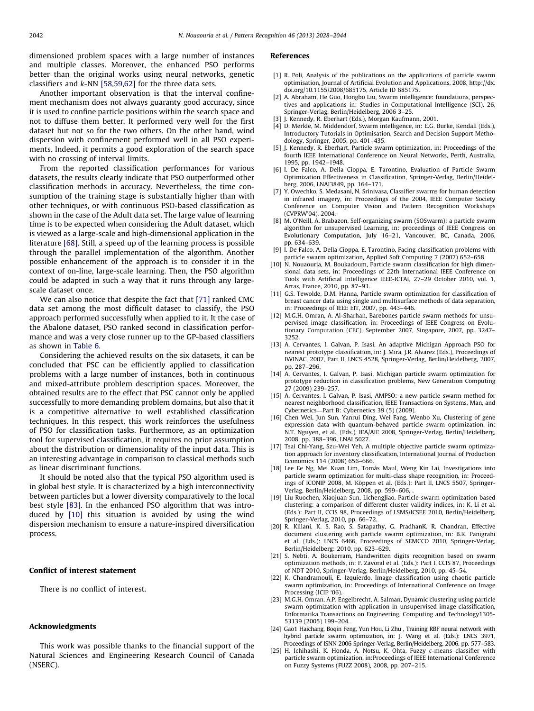<span id="page-14-0"></span>dimensioned problem spaces with a large number of instances and multiple classes. Moreover, the enhanced PSO performs better than the original works using neural networks, genetic classifiers and  $k$ -NN [\[58,59,62](#page-15-0)] for the three data sets.

Another important observation is that the interval confinement mechanism does not always guaranty good accuracy, since it is used to confine particle positions within the search space and not to diffuse them better. It performed very well for the first dataset but not so for the two others. On the other hand, wind dispersion with confinement performed well in all PSO experiments. Indeed, it permits a good exploration of the search space with no crossing of interval limits.

From the reported classification performances for various datasets, the results clearly indicate that PSO outperformed other classification methods in accuracy. Nevertheless, the time consumption of the training stage is substantially higher than with other techniques, or with continuous PSO-based classification as shown in the case of the Adult data set. The large value of learning time is to be expected when considering the Adult dataset, which is viewed as a large-scale and high-dimensional application in the literature [\[68\].](#page-15-0) Still, a speed up of the learning process is possible through the parallel implementation of the algorithm. Another possible enhancement of the approach is to consider it in the context of on-line, large-scale learning. Then, the PSO algorithm could be adapted in such a way that it runs through any largescale dataset once.

We can also notice that despite the fact that [\[71\]](#page-15-0) ranked CMC data set among the most difficult dataset to classify, the PSO approach performed successfully when applied to it. It the case of the Abalone dataset, PSO ranked second in classification performance and was a very close runner up to the GP-based classifiers as shown in [Table 6](#page-13-0).

Considering the achieved results on the six datasets, it can be concluded that PSC can be efficiently applied to classification problems with a large number of instances, both in continuous and mixed-attribute problem description spaces. Moreover, the obtained results are to the effect that PSC cannot only be applied successfully to more demanding problem domains, but also that it is a competitive alternative to well established classification techniques. In this respect, this work reinforces the usefulness of PSO for classification tasks. Furthermore, as an optimization tool for supervised classification, it requires no prior assumption about the distribution or dimensionality of the input data. This is an interesting advantage in comparison to classical methods such as linear discriminant functions.

It should be noted also that the typical PSO algorithm used is in global best style. It is characterized by a high interconnectivity between particles but a lower diversity comparatively to the local best style [\[83\]](#page-16-0). In the enhanced PSO algorithm that was introduced by [10] this situation is avoided by using the wind dispersion mechanism to ensure a nature-inspired diversification process.

### Conflict of interest statement

There is no conflict of interest.

### Acknowledgments

This work was possible thanks to the financial support of the Natural Sciences and Engineering Research Council of Canada (NSERC).

#### References

- [1] R. Poli, Analysis of the publications on the applications of particle swarm optimisation, Journal of Artificial Evolution and Applications, 2008, [http://dx.](dx.doi.org/10.1155/2008/685175) [doi.org/10.1155/2008/685175,](dx.doi.org/10.1155/2008/685175) Article ID 685175.
- [2] A. Abraham, He Guo, Hongbo Liu, Swarm intelligence: foundations, perspectives and applications in: Studies in Computational Intelligence (SCI), 26, Springer-Verlag, Berlin/Heidelberg, 2006 3–25.
- [3] J. Kennedy, R. Eberhart (Eds.), Morgan Kaufmann, 2001.
- [4] D. Merkle, M. Middendorf, Swarm intelligence, in: E.G. Burke, Kendall (Eds.), Introductory Tutorials in Optimisation, Search and Decision Support Methodology, Springer, 2005, pp. 401–435.
- [5] J. Kennedy, R. Eberhart, Particle swarm optimization, in: Proceedings of the fourth IEEE International Conference on Neural Networks, Perth, Australia, 1995, pp. 1942–1948.
- [6] I. De Falco, A. Della Cioppa, E. Tarontino, Evaluation of Particle Swarm Optimization Effectiveness in Classification, Springer-Verlag, Berlin/Heidelberg, 2006, LNAI3849, pp. 164–171.
- [7] Y. Owechko, S. Medasani, N. Srinivasa, Classifier swarms for human detection in infrared imagery, in: Proceedings of the 2004, IEEE Computer Society Conference on Computer Vision and Pattern Recognition Workshops (CVPRW'04), 2004.
- [8] M. O'Neill, A. Brabazon, Self-organizing swarm (SOSwarm): a particle swarm algorithm for unsupervised Learning, in: proceedings of IEEE Congress on Evolutionary Computation, July 16–21, Vancouver, BC, Canada, 2006, pp. 634–639.
- [9] I. De Falco, A. Della Cioppa, E. Tarontino, Facing classification problems with particle swarm optimization, Applied Soft Computing 7 (2007) 652–658.
- [10] N. Nouaouria, M. Boukadoum, Particle swarm classification for high dimensional data sets, in: Proceedings of 22th International IEEE Conference on Tools with Artificial Intelligence IEEE-ICTAI, 27–29 October 2010, vol. 1, Arras, France, 2010, pp. 87–93.
- [11] G.S. Tewolde, D.M. Hanna, Particle swarm optimization for classification of breast cancer data using single and multisurface methods of data separation, in: Proceedings of IEEE EIT, 2007, pp. 443–446.
- [12] M.G.H. Omran, A. Al-Sharhan, Barebones particle swarm methods for unsupervised image classification, in: Proceedings of IEEE Congress on Evolutionary Computation (CEC), September 2007, Singapore, 2007, pp. 3247– 3252.
- [13] A. Cervantes, I. Galvan, P. Isasi, An adaptive Michigan Approach PSO for nearest prototype classification, in: J. Mira, J.R. Alvarez (Eds.), Proceedings of IWINAC, 2007, Part II, LNCS 4528, Springer-Verlag, Berlin/Heidelberg, 2007, pp. 287–296.
- [14] A. Cervantes, I. Galvan, P. Isasi, Michigan particle swarm optimization for prototype reduction in classification problems, New Generation Computing 27 (2009) 239–257.
- [15] A. Cervantes, I. Galvan, P. Isasi, AMPSO: a new particle swarm method for nearest neighborhood classification, IEEE Transactions on Systems, Man, and Cybernetics—Part B: Cybernetics 39 (5) (2009).
- [16] Chen Wei, Jun Sun, Yanrui Ding, Wei Fang, Wenbo Xu, Clustering of gene expression data with quantum-behaved particle swarm optimization, in: N.T. Nguyen, et al., (Eds.), IEA/AIE 2008, Springer-Verlag, Berlin/Heidelberg, 2008, pp. 388–396, LNAI 5027.
- [17] Tsai Chi-Yang, Szu-Wei Yeh, A multiple objective particle swarm optimization approach for inventory classification, International Journal of Production Economics 114 (2008) 656–666.
- [18] Lee Ee Ng, Mei Kuan Lim, Tomás Maul, Weng Kin Lai, Investigations into particle swarm optimization for multi-class shape recognition, in: Proceedings of ICONIP 2008, M. Köppen et al. (Eds.): Part II, LNCS 5507, Springer-Verlag, Berlin/Heidelberg, 2008, pp. 599-606,
- [19] Liu Ruochen, Xiaojuan Sun, LichengJiao, Particle swarm optimization based clustering: a comparison of different cluster validity indices, in: K. Li et al. (Eds.): Part II, CCIS 98, Proceedings of LSMS/ICSEE 2010, Berlin/Heidelberg, Springer-Verlag, 2010, pp. 66–72.
- [20] R. Killani, K. S. Rao, S. Satapathy, G. PradhanK. R. Chandran, Effective document clustering with particle swarm optimization, in: B.K. Panigrahi et al. (Eds.): LNCS 6466, Proceedings of SEMCCO 2010, Springer-Verlag, Berlin/Heidelberg: 2010, pp. 623–629.
- [21] S. Nebti, A. Boukerram, Handwritten digits recognition based on swarm optimization methods, in: F. Zavoral et al. (Eds.): Part I, CCIS 87, Proceedings of NDT 2010, Springer-Verlag, Berlin/Heidelberg, 2010, pp. 45–54.
- [22] K. Chandramouli, E. Izquierdo, Image classification using chaotic particle swarm optimization, in: Proceedings of International Conference on Image Processing (ICIP '06).
- [23] M.G.H. Omran, A.P. Engelbrecht, A. Salman, Dynamic clustering using particle swarm optimization with application in unsupervised image classification, Enformatika Transactions on Engineering, Computing and Technology1305- 53139 (2005) 199–204.
- [24] Gao1 Haichang, Boqin Feng, Yun Hou, Li Zhu , Training RBF neural network with hybrid particle swarm optimization, in: J. Wang et al. (Eds.): LNCS 3971, Proceedings of ISNN 2006 Springer-Verlag, Berlin/Heidelberg, 2006, pp. 577–583.
- [25] H. Ichihashi, K. Honda, A. Notsu, K. Ohta, Fuzzy c-means classifier with particle swarm optimization, in:Proceedings of IEEE International Conference on Fuzzy Systems (FUZZ 2008), 2008, pp. 207–215.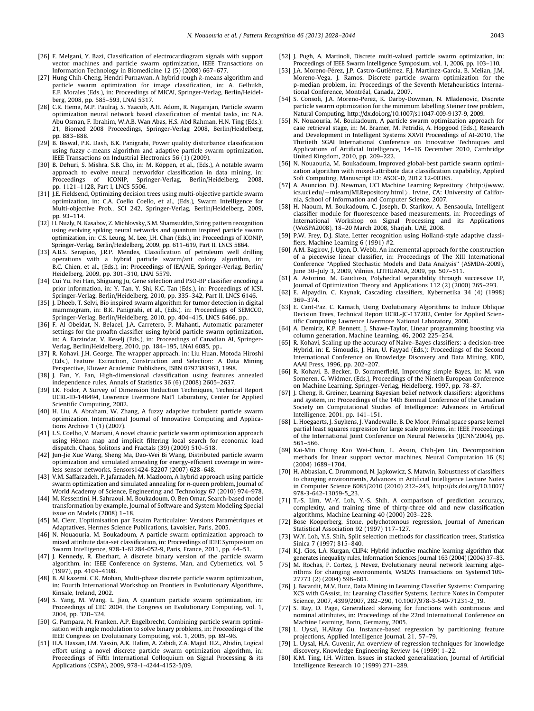- <span id="page-15-0"></span>[26] F. Melgani, Y. Bazi, Classification of electrocardiogram signals with support vector machines and particle swarm optimization, IEEE Transactions on Information Technology in Biomedicine 12 (5) (2008) 667–677.
- [27] Hung Chih-Cheng, Hendri Purnawan, A hybrid rough k-means algorithm and particle swarm optimization for image classification, in: A. Gelbukh, E.F. Morales (Eds.), in: Proceedings of MICAI, Springer-Verlag, Berlin/Heidelberg, 2008, pp. 585–593, LNAI 5317.
- [28] C.R. Hema, M.P. Paulraj, S. Yaacob, A.H. Adom, R. Nagarajan, Particle swarm optimization neural network based classification of mental tasks, in: N.A. Abu Osman, F. Ibrahim, W.A.B. Wan Abas, H.S. Abd Rahman, H.N. Ting (Eds.): 21, Biomed 2008 Proceedings, Springer-Verlag 2008, Berlin/Heidelberg, pp. 883–888.
- [29] B. Biswal, P.K. Dash, B.K. Panigrahi, Power quality disturbance classification using fuzzy c-means algorithm and adaptive particle swarm optimization, IEEE Transactions on Industrial Electronics 56 (1) (2009).
- [30] B. Dehuri, S. Mishra, S.B. Cho, in: M. Köppen, et al., (Eds.), A notable swarm approach to evolve neural networkfor classification in data mining, in: Proceedings of ICONIP, Springer-Verlag, Berlin/Heidelberg, pp. 1121–1128, Part I, LNCS 5506.
- [31] J.E. Fieldsend, Optimizing decision trees using multi-objective particle swarm optimization, in: C.A. Coello Coello, et al., (Eds.), Swarm Intelligence for Multi-objective Prob., SCI 242, Springer-Verlag, Berlin/Heidelberg, 2009, pp. 93–114.
- [32] H. Nuzly, N. Kasabov, Z. Michlovsky, S.M. Shamsuddin, String pattern recognition using evolving spiking neural networks and quantum inspired particle swarm optimization, in: C.S. Leung, M. Lee, J.H. Chan (Eds.), in: Proceedings of ICONIP, Springer-Verlag, Berlin/Heidelberg, 2009, pp. 611–619, Part II, LNCS 5864.
- [33] A.B.S. Serapiao, J.R.P. Mendes, Classification of petroleum well drilling operations with a hybrid particle swarm/ant colony algorithm, in: B.C. Chien, et al., (Eds.), in: Proceedings of IEA/AIE, Springer-Verlag, Berlin/ Heidelberg, 2009, pp. 301–310, LNAI 5579.
- [34] Cui Yu, Fei Han, Shiguang Ju, Gene selection and PSO-BP classifier encoding a prior information, in: Y. Tan, Y. Shi, K.C. Tan (Eds.), in: Proceedings of ICSI, Springer-Verlag, Berlin/Heidelberg, 2010, pp. 335–342, Part II, LNCS 6146.
- [35] J. Dheeb, T. Selvi, Bio inspired swarm algorithm for tumor detection in digital mammogram, in: B.K. Panigrahi, et al., (Eds.), in: Proceedings of SEMCCO, Springer-Verlag, Berlin/Heidelberg, 2010, pp. 404–415, LNCS 6466, pp..
- [36] F. Al Obeidat, N. Belacel, J.A. Carretero, P. Mahanti, Automatic parameter settings for the proaftn classifier using hybrid particle swarm optimization, in: A. Farzindar, V. Keselj (Eds.), in: Proceedings of Canadian AI, Springer-Verlag, Berlin/Heidelberg, 2010, pp. 184–195, LNAI 6085, pp..
- [37] R. Kohavi, J.H. George, The wrapper approach, in: Liu Huan, Motoda Hiroshi (Eds.), Feature Extraction, Construction and Selection: A Data Mining Perspective, Kluwer Academic Publishers, ISBN 0792381963, 1998.
- [38] J. Fan, Y. Fan, High-dimensional classification using features annealed independence rules, Annals of Statistics 36 (6) (2008) 2605–2637.
- [39] I.K. Fodor, A Survey of Dimension Reduction Techniques, Technical Report UCRL-ID-148494, Lawrence Livermore Nat'l Laboratory, Center for Applied Scientific Computing, 2002.
- [40] H. Liu, A. Abraham, W. Zhang, A fuzzy adaptive turbulent particle swarm optimization, International Journal of Innovative Computing and Applications Archive 1 (1) (2007).
- [41] L.S. Coelho, V. Mariani, A novel chaotic particle swarm optimization approach using Hénon map and implicit filtering local search for economic load dispatch, Chaos, Solitons and Fractals (39) (2009) 510–518.
- [42] Jun-Jie Xue Wang, Sheng Ma, Dao-Wei Bi Wang, Distributed particle swarm optimization and simulated annealing for energy-efficient coverage in wireless sensor networks, Sensors1424-82207 (2007) 628–648.
- [43] V.M. Saffarzadeh, P. Jafarzadeh, M. Mazloom, A hybrid approach using particle swarm optimization and simulated annealing for n-queen problem, Journal of World Academy of Science, Engineering and Technology 67 (2010) 974–978.
- [44] M. Kessentini, H. Sahraoui, M. Boukadoum, O. Ben Omar, Search-based model transformation by example, Journal of Software and System Modeling Special issue on Models (2008) 1–18.
- [45] M. Clerc, L'optimisation par Essaim Particulaire: Versions Paramétriques et Adaptatives, Hermes Science Publications, Lavoisier, Paris, 2005.
- [46] N. Nouaouria, M. Boukadoum, A particle swarm optimization approach to mixed attribute data-set classification, in: Proceedings of IEEE Symposium on Swarm Intelligence, 978-1-61284-052-9, Paris, France, 2011, pp. 44–51.
- [47] J. Kennedy, R. Eberhart, A discrete binary version of the particle swarm algorithm, in: IEEE Conference on Systems, Man, and Cybernetics, vol. 5 (1997), pp. 4104–4108.
- [48] B. Al kazemi. C.K. Mohan, Multi-phase discrete particle swarm optimization, in: Fourth International Workshop on Frontiers in Evolutionary Algorithms, Kinsale, Ireland, 2002.
- [49] S. Yang, M. Wang, L. Jiao, A quantum particle swarm optimization, in: Proceedings of CEC 2004, the Congress on Evolutionary Computing, vol. 1, 2004, pp. 320–324.
- [50] G. Pampara, N. Franken. A.P. Engelbrecht, Combining particle swarm optimisation with angle modulation to solve binary problems, in: Proceedings of the IEEE Congress on Evolutionary Computing, vol. 1, 2005, pp. 89–96.
- [51] H.A. Hassan, I.M. Yassin, A.K. Halim, A. Zabidi, Z.A. Majid, H.Z., Abidin, Logical effort using a novel discrete particle swarm optimization algorithm, in: Proceedings of Fifth International Colloquium on Signal Processing & its Applications (CSPA), 2009, 978-1-4244-4152-5/09.
- [52] J. Pugh, A. Martinoli, Discrete multi-valued particle swarm optimization, in: Proceedings of IEEE Swarm Intelligence Symposium, vol. 1, 2006, pp. 103–110.
- [53] J.A. Moreno-Pérez, J.P. Castro-Gutiérrez, F.J. Martinez-Garcia, B. Melian, J.M. Moreno-Vega, J. Ramos, Discrete particle swarm optimization for the p-median problem, in: Proceedings of the Seventh Metaheuristics International Conference, Montréal, Canada, 2007.
- [54] S. Consoli, J.A. Moreno-Perez, K. Darby-Dowman, N. Mladenovic, Discrete particle swarm optimization for the minimum labelling Steiner tree problem, Natural Computing, [http://dx.doi.org/10.1007/s11047-009-9137-9](dx.doi.org/10.1007/s11047-009-9137-9), 2009.
- [55] N. Nouaouria, M. Boukadoum, A particle swarm optimization approach for case retrieval stage, in: M. Bramer, M. Petridis, A. Hopgood (Eds.), Research and Development in Intelligent Systems XXVII Proceedings of AI-2010, The Thirtieth SGAI International Conference on Innovative Techniques and Applications of Artificial Intelligence, 14–16 December 2010, Cambridge United Kingdom, 2010, pp. 209–222.
- [56] N. Nouaouria, M. Boukadoum, Improved global-best particle swarm optimization algorithm with mixed-attribute data classification capability, Applied Soft Computing, Manuscript ID: ASOC-D, 2012 12-00385.
- [57] A. Asuncion, D.J. Newman, UCI Machine Learning Repository  $\langle$  [http://www.](dx.doi.org/10.1007/s11047-009-9137-9) [ics.uci.edu/](dx.doi.org/10.1007/s11047-009-9137-9)~[mlearn/MLRepository.html](dx.doi.org/10.1007/s11047-009-9137-9)>. Irvine, CA: University of Califor-<br>nia School of Information and Computer Science, 2007 nia, School of Information and Computer Science, 2007.
- [58] H. Naoum, M. Boukadoum, C. Joseph, D. Starikov, A. Bensaoula, Intelligent classifier module for fluorescence based measurements, in: Proceedings of International Workshop on Signal Processing and its Applications (WoSPA2008), 18–20 March 2008, Sharjah, UAE, 2008.
- [59] P.W. Frey, D.J. Slate, Letter recognition using Holland-style adaptive classifiers, Machine Learning 6 (1991) #2.
- [60] A.M. Bagirov, J. Ugon, D. Webb, An incremental approach for the construction of a piecewise linear classifier, in: Proceedings of The XIII International Conference ''Applied Stochastic Models and Data Analysis'' (ASMDA-2009), June 30–July 3, 2009, Vilnius, LITHUANIA, 2009, pp. 507–511.
- [61] A. Astorino, M. Gaudioso, Polyhedral separability through successive LP, Journal of Optimization Theory and Applications 112 (2) (2000) 265–293.
- [62] E. Alpaydin, C. Kaynak, Cascading classifiers, Kybernetika 34 (4) (1998) 369–374.
- [63] E. Cant-Paz, C. Kamath, Using Evolutionary Algorithms to Induce Oblique Decision Trees, Technical Report UCRL-JC-137202, Center for Applied Scientific Computing Lawrence Livermore National Laboratory, 2000.
- [64] A. Demiriz, K.P. Bennett, J. Shawe-Taylor, Linear programming boosting via column generation, Machine Learning, 46, 2002 225–254.
- [65] R. Kohavi, Scaling up the accuracy of Naive–Bayes classifiers: a decision-tree Hybrid, in: E. Simoudis, J. Han, U. Fayyad (Eds.): Proceedings of the Second International Conference on Knowledge Discovery and Data Mining, KDD, AAAI Press, 1996, pp. 202–207.
- [66] R. Kohavi, B. Becker, D. Sommerfield, Improving simple Bayes, in: M. van Someren, G. Widmer, (Eds.), Proceedings of the Nineth European Conference on Machine Learning, Springer-Verlag, Heidelberg, 1997, pp. 78–87.
- [67] J. Cheng, R. Greiner, Learning Bayesian belief network classifiers: algorithms and system, in: Proceedings of the 14th Biennial Conference of the Canadian Society on Computational Studies of Intelligence: Advances in Artificial Intelligence, 2001, pp. 141–151.
- [68] L. Hoegaerts, J. Suykens, J. Vandewalle, B. De Moor, Primal space sparse kernel partial least squares regression for large scale problems, in: IEEE Proceedings of the International Joint Conference on Neural Networks (IJCNN'2004), pp. 561–566.
- [69] Kai-Min Chung Kao Wei-Chun, L. Assun, Chih-Jen Lin, Decomposition methods for linear support vector machines, Neural Computation 16 (8) (2004) 1689–1704.
- [70] H. Abbasian, C. Drummond, N. Japkowicz, S. Matwin, Robustness of classifiers to changing environments, Advances in Artificial Intelligence Lecture Notes in Computer Science 6085/2010 (2010) 232–243, [http://dx.doi.org/10.1007/](dx.doi.org/10.1007/978-3-642-13059-5_23) [978-3-642-13059-5\\_23](dx.doi.org/10.1007/978-3-642-13059-5_23).
- [71] T.-S. Lim, W.-Y. Loh, Y.-S. Shih, A comparison of prediction accuracy, complexity, and training time of thirty-three old and new classification algorithms, Machine Learning 40 (2000) 203–228.
- [72] Bose Kooperberg, Stone, polychotomous regression, Journal of American Statistical Association 92 (1997) 117–127.
- [73] W.Y. Loh, Y.S. Shih, Split selection methods for classification trees, Statistica Sinica 7 (1997) 815–840.
- [74] K.J. Cios, L.A. Kurgan, CLIP4: Hybrid inductive machine learning algorithm that generates inequality rules, Information Sciences Journal 163 (2004) (2004) 37–83.
- [75] M. Rochas, P. Cortez, J. Nevez, Evolutionary neural network learning algo-rithms for changing environments, WSEAS Transactions on Systems1109- 27773 (2) (2004) 596–601.
- [76] J. Bacardit, M.V. Butz, Data Mining in Learning Classifier Systems: Comparing XCS with GAssist, in: Learning Classifier Systems, Lecture Notes in Computer Science, 2007, 4399/2007, 282–290, 10.1007/978-3-540-71231-2\_19.
- [77] S. Ray, D. Page, Generalized skewing for functions with continuous and nominal attributes, in: Proceedings of the 22nd International Conference on Machine Learning, Bonn, Germany, 2005.
- [78] L. Uysal, H.Altay Gu, Instance-based regression by partitioning feature projections, Applied Intelligence Journal, 21, 57–79.
- [79] L. Uysal, H.A. Guvenir, An overview of regression techniques for knowledge discovery, Knowledge Engineering Review 14 (1999) 1–22.
- [80] K.M. Ting, I.H. Witten, Issues in stacked generalization, Journal of Artificial Intelligence Research 10 (1999) 271–289.